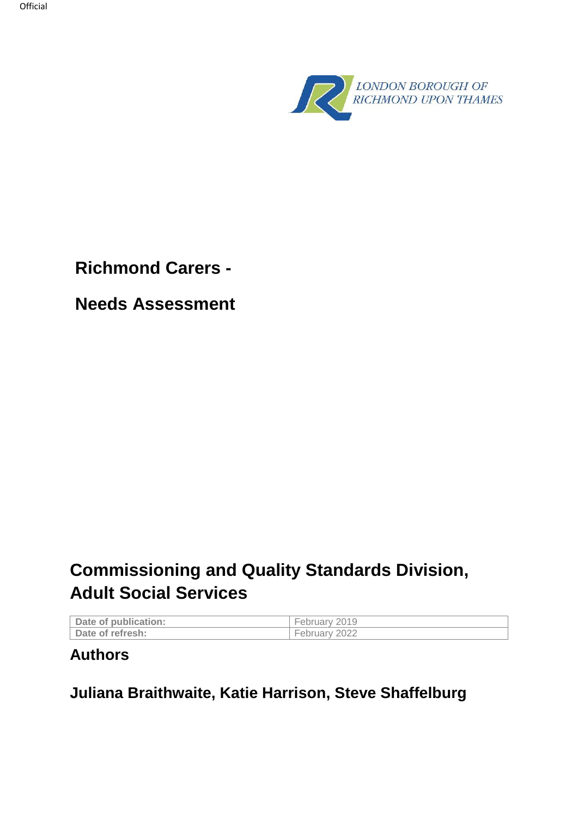

**Richmond Carers -**

**Needs Assessment**

# **Commissioning and Quality Standards Division, Adult Social Services**

| Date of publication: | February 2019 |
|----------------------|---------------|
| Date of refresh:     | February      |

# **Authors**

**Juliana Braithwaite, Katie Harrison, Steve Shaffelburg**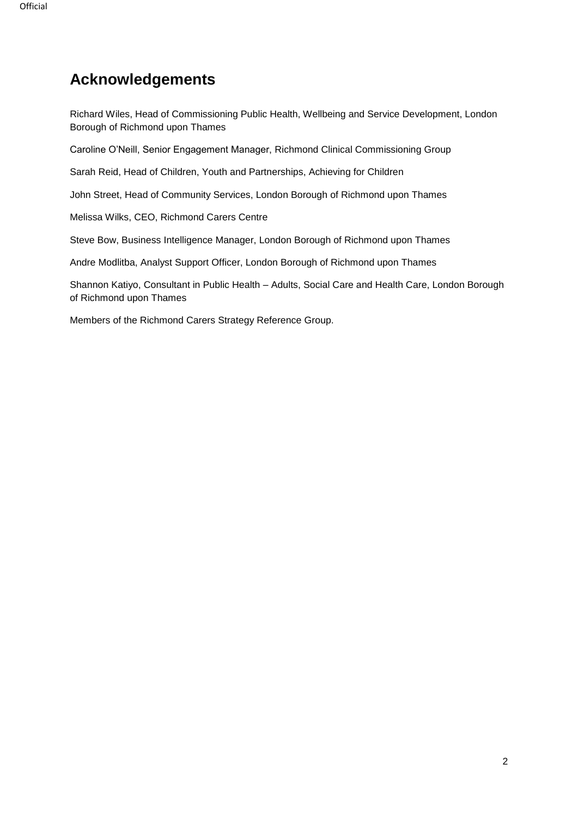# **Acknowledgements**

Richard Wiles, Head of Commissioning Public Health, Wellbeing and Service Development, London Borough of Richmond upon Thames

Caroline O'Neill, Senior Engagement Manager, Richmond Clinical Commissioning Group

Sarah Reid, Head of Children, Youth and Partnerships, Achieving for Children

John Street, Head of Community Services, London Borough of Richmond upon Thames

Melissa Wilks, CEO, Richmond Carers Centre

Steve Bow, Business Intelligence Manager, London Borough of Richmond upon Thames

Andre Modlitba, Analyst Support Officer, London Borough of Richmond upon Thames

Shannon Katiyo, Consultant in Public Health – Adults, Social Care and Health Care, London Borough of Richmond upon Thames

Members of the Richmond Carers Strategy Reference Group.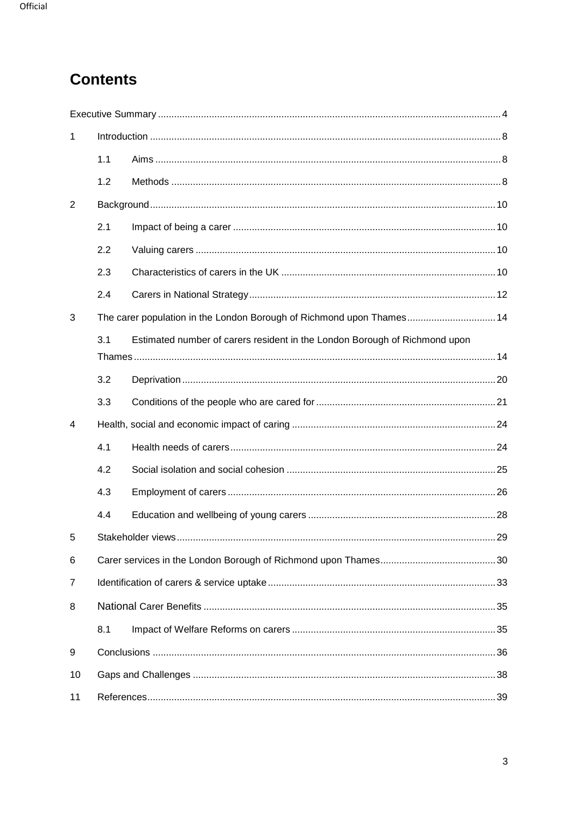# **Contents**

| 1              |     |                                                                            |  |
|----------------|-----|----------------------------------------------------------------------------|--|
|                | 1.1 |                                                                            |  |
|                | 1.2 |                                                                            |  |
| 2              |     |                                                                            |  |
|                | 2.1 |                                                                            |  |
|                | 2.2 |                                                                            |  |
|                | 2.3 |                                                                            |  |
|                | 2.4 |                                                                            |  |
| 3              |     | The carer population in the London Borough of Richmond upon Thames 14      |  |
|                | 3.1 | Estimated number of carers resident in the London Borough of Richmond upon |  |
|                | 3.2 |                                                                            |  |
|                | 3.3 |                                                                            |  |
| 4              |     |                                                                            |  |
|                | 4.1 |                                                                            |  |
|                | 4.2 |                                                                            |  |
|                | 4.3 |                                                                            |  |
|                | 4.4 |                                                                            |  |
| 5              |     |                                                                            |  |
| 6              |     |                                                                            |  |
| $\overline{7}$ |     |                                                                            |  |
| 8              |     |                                                                            |  |
|                | 8.1 |                                                                            |  |
| 9              |     |                                                                            |  |
| 10             |     |                                                                            |  |
| 11             |     |                                                                            |  |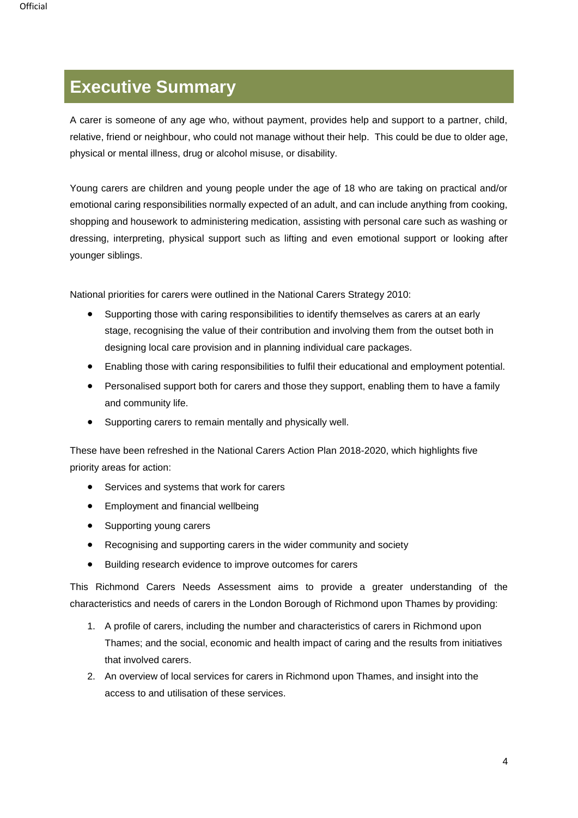# <span id="page-3-0"></span>**Executive Summary**

A carer is someone of any age who, without payment, provides help and support to a partner, child, relative, friend or neighbour, who could not manage without their help. This could be due to older age, physical or mental illness, drug or alcohol misuse, or disability.

Young carers are children and young people under the age of 18 who are taking on practical and/or emotional caring responsibilities normally expected of an adult, and can include anything from cooking, shopping and housework to administering medication, assisting with personal care such as washing or dressing, interpreting, physical support such as lifting and even emotional support or looking after younger siblings.

National priorities for carers were outlined in the National Carers Strategy 2010:

- Supporting those with caring responsibilities to identify themselves as carers at an early stage, recognising the value of their contribution and involving them from the outset both in designing local care provision and in planning individual care packages.
- Enabling those with caring responsibilities to fulfil their educational and employment potential.
- Personalised support both for carers and those they support, enabling them to have a family and community life.
- Supporting carers to remain mentally and physically well.

These have been refreshed in the National Carers Action Plan 2018-2020, which highlights five priority areas for action:

- Services and systems that work for carers
- Employment and financial wellbeing
- Supporting young carers
- Recognising and supporting carers in the wider community and society
- Building research evidence to improve outcomes for carers

This Richmond Carers Needs Assessment aims to provide a greater understanding of the characteristics and needs of carers in the London Borough of Richmond upon Thames by providing:

- 1. A profile of carers, including the number and characteristics of carers in Richmond upon Thames; and the social, economic and health impact of caring and the results from initiatives that involved carers.
- 2. An overview of local services for carers in Richmond upon Thames, and insight into the access to and utilisation of these services.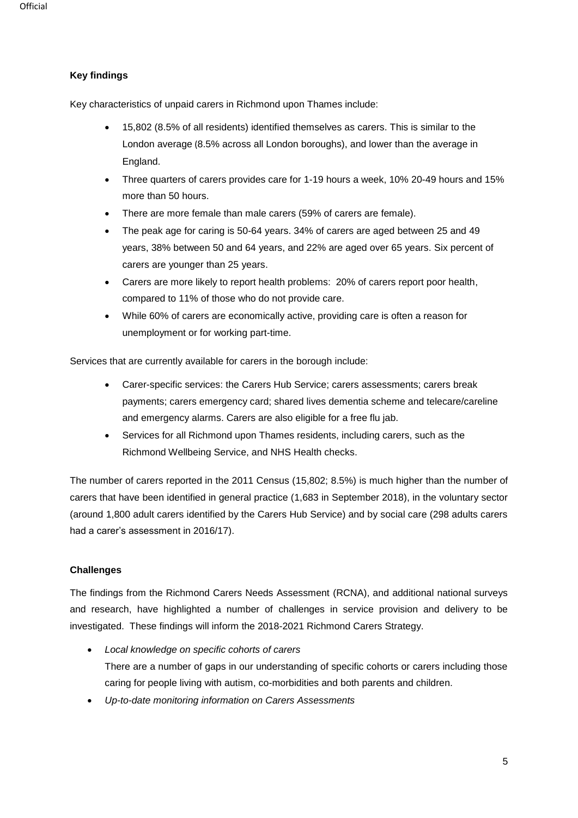### **Key findings**

Key characteristics of unpaid carers in Richmond upon Thames include:

- 15,802 (8.5% of all residents) identified themselves as carers. This is similar to the London average (8.5% across all London boroughs), and lower than the average in England.
- Three quarters of carers provides care for 1-19 hours a week, 10% 20-49 hours and 15% more than 50 hours.
- There are more female than male carers (59% of carers are female).
- The peak age for caring is 50-64 years. 34% of carers are aged between 25 and 49 years, 38% between 50 and 64 years, and 22% are aged over 65 years. Six percent of carers are younger than 25 years.
- Carers are more likely to report health problems: 20% of carers report poor health, compared to 11% of those who do not provide care.
- While 60% of carers are economically active, providing care is often a reason for unemployment or for working part-time.

Services that are currently available for carers in the borough include:

- Carer-specific services: the Carers Hub Service; carers assessments; carers break payments; carers emergency card; shared lives dementia scheme and telecare/careline and emergency alarms. Carers are also eligible for a free flu jab.
- Services for all Richmond upon Thames residents, including carers, such as the Richmond Wellbeing Service, and NHS Health checks.

The number of carers reported in the 2011 Census (15,802; 8.5%) is much higher than the number of carers that have been identified in general practice (1,683 in September 2018), in the voluntary sector (around 1,800 adult carers identified by the Carers Hub Service) and by social care (298 adults carers had a carer's assessment in 2016/17).

### **Challenges**

The findings from the Richmond Carers Needs Assessment (RCNA), and additional national surveys and research, have highlighted a number of challenges in service provision and delivery to be investigated. These findings will inform the 2018-2021 Richmond Carers Strategy.

- *Local knowledge on specific cohorts of carers* There are a number of gaps in our understanding of specific cohorts or carers including those caring for people living with autism, co-morbidities and both parents and children.
- *Up-to-date monitoring information on Carers Assessments*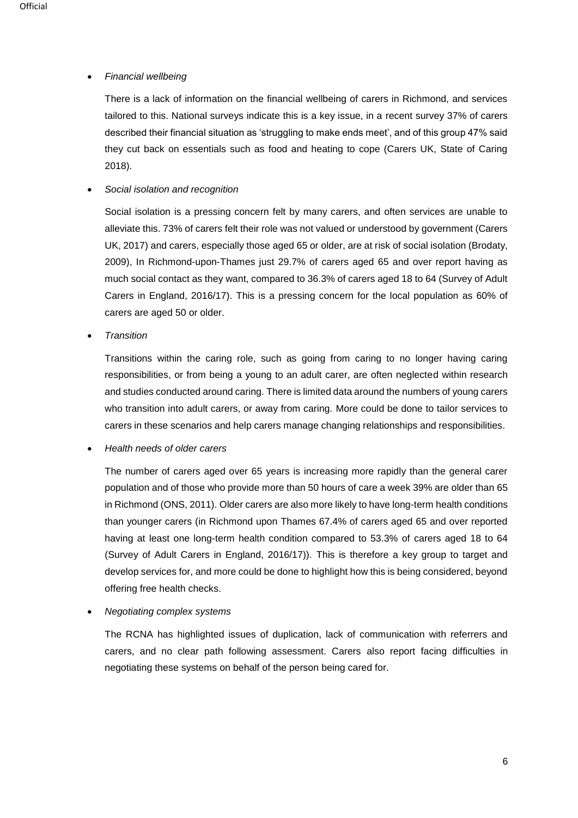### • *Financial wellbeing*

There is a lack of information on the financial wellbeing of carers in Richmond, and services tailored to this. National surveys indicate this is a key issue, in a recent survey 37% of carers described their financial situation as 'struggling to make ends meet', and of this group 47% said they cut back on essentials such as food and heating to cope (Carers UK, State of Caring 2018).

#### • *Social isolation and recognition*

Social isolation is a pressing concern felt by many carers, and often services are unable to alleviate this. 73% of carers felt their role was not valued or understood by government (Carers UK, 2017) and carers, especially those aged 65 or older, are at risk of social isolation (Brodaty, 2009), In Richmond-upon-Thames just 29.7% of carers aged 65 and over report having as much social contact as they want, compared to 36.3% of carers aged 18 to 64 (Survey of Adult Carers in England, 2016/17). This is a pressing concern for the local population as 60% of carers are aged 50 or older.

• *Transition*

Transitions within the caring role, such as going from caring to no longer having caring responsibilities, or from being a young to an adult carer, are often neglected within research and studies conducted around caring. There is limited data around the numbers of young carers who transition into adult carers, or away from caring. More could be done to tailor services to carers in these scenarios and help carers manage changing relationships and responsibilities.

#### • *Health needs of older carers*

The number of carers aged over 65 years is increasing more rapidly than the general carer population and of those who provide more than 50 hours of care a week 39% are older than 65 in Richmond (ONS, 2011). Older carers are also more likely to have long-term health conditions than younger carers (in Richmond upon Thames 67.4% of carers aged 65 and over reported having at least one long-term health condition compared to 53.3% of carers aged 18 to 64 (Survey of Adult Carers in England, 2016/17)). This is therefore a key group to target and develop services for, and more could be done to highlight how this is being considered, beyond offering free health checks.

#### • *Negotiating complex systems*

The RCNA has highlighted issues of duplication, lack of communication with referrers and carers, and no clear path following assessment. Carers also report facing difficulties in negotiating these systems on behalf of the person being cared for.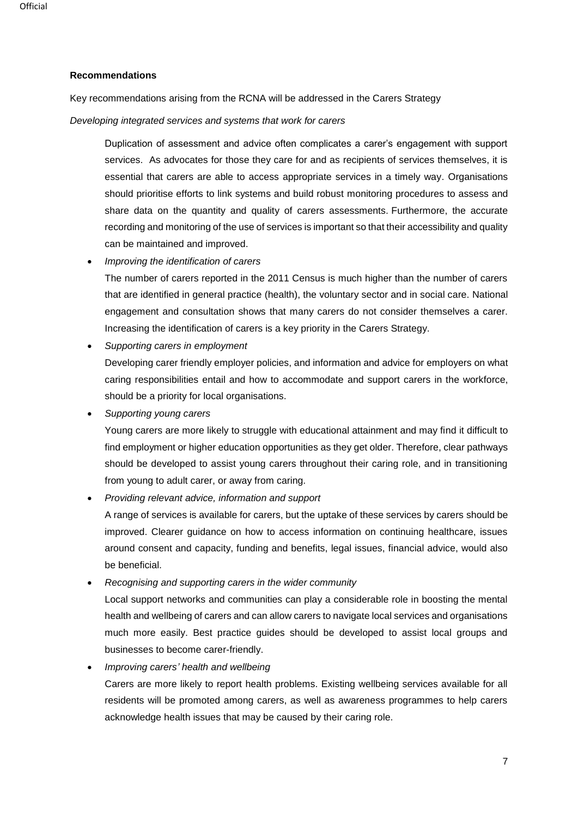### **Recommendations**

Key recommendations arising from the RCNA will be addressed in the Carers Strategy

*Developing integrated services and systems that work for carers*

Duplication of assessment and advice often complicates a carer's engagement with support services. As advocates for those they care for and as recipients of services themselves, it is essential that carers are able to access appropriate services in a timely way. Organisations should prioritise efforts to link systems and build robust monitoring procedures to assess and share data on the quantity and quality of carers assessments. Furthermore, the accurate recording and monitoring of the use of services is important so that their accessibility and quality can be maintained and improved.

• *Improving the identification of carers*

The number of carers reported in the 2011 Census is much higher than the number of carers that are identified in general practice (health), the voluntary sector and in social care. National engagement and consultation shows that many carers do not consider themselves a carer. Increasing the identification of carers is a key priority in the Carers Strategy.

• *Supporting carers in employment*

Developing carer friendly employer policies, and information and advice for employers on what caring responsibilities entail and how to accommodate and support carers in the workforce, should be a priority for local organisations.

• *Supporting young carers*

Young carers are more likely to struggle with educational attainment and may find it difficult to find employment or higher education opportunities as they get older. Therefore, clear pathways should be developed to assist young carers throughout their caring role, and in transitioning from young to adult carer, or away from caring.

• *Providing relevant advice, information and support*

A range of services is available for carers, but the uptake of these services by carers should be improved. Clearer guidance on how to access information on continuing healthcare, issues around consent and capacity, funding and benefits, legal issues, financial advice, would also be beneficial.

• *Recognising and supporting carers in the wider community*

Local support networks and communities can play a considerable role in boosting the mental health and wellbeing of carers and can allow carers to navigate local services and organisations much more easily. Best practice guides should be developed to assist local groups and businesses to become carer-friendly.

• *Improving carers' health and wellbeing* 

Carers are more likely to report health problems. Existing wellbeing services available for all residents will be promoted among carers, as well as awareness programmes to help carers acknowledge health issues that may be caused by their caring role.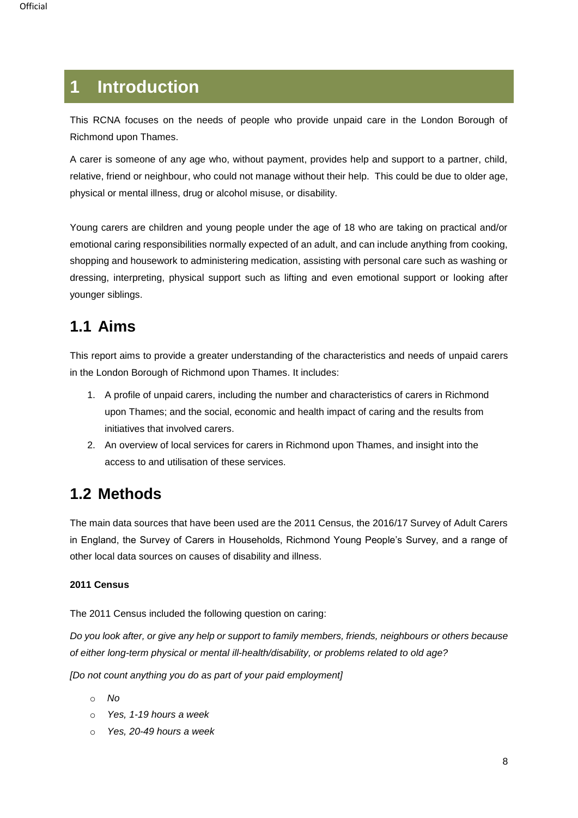# <span id="page-7-0"></span>**1 Introduction**

This RCNA focuses on the needs of people who provide unpaid care in the London Borough of Richmond upon Thames.

<span id="page-7-1"></span>A carer is someone of any age who, without payment, provides help and support to a partner, child, relative, friend or neighbour, who could not manage without their help. This could be due to older age, physical or mental illness, drug or alcohol misuse, or disability.

Young carers are children and young people under the age of 18 who are taking on practical and/or emotional caring responsibilities normally expected of an adult, and can include anything from cooking, shopping and housework to administering medication, assisting with personal care such as washing or dressing, interpreting, physical support such as lifting and even emotional support or looking after younger siblings.

# **1.1 Aims**

This report aims to provide a greater understanding of the characteristics and needs of unpaid carers in the London Borough of Richmond upon Thames. It includes:

- 1. A profile of unpaid carers, including the number and characteristics of carers in Richmond upon Thames; and the social, economic and health impact of caring and the results from initiatives that involved carers.
- 2. An overview of local services for carers in Richmond upon Thames, and insight into the access to and utilisation of these services.

# <span id="page-7-2"></span>**1.2 Methods**

The main data sources that have been used are the 2011 Census, the 2016/17 Survey of Adult Carers in England, the Survey of Carers in Households, Richmond Young People's Survey, and a range of other local data sources on causes of disability and illness.

### **2011 Census**

The 2011 Census included the following question on caring:

*Do you look after, or give any help or support to family members, friends, neighbours or others because of either long-term physical or mental ill-health/disability, or problems related to old age?*

*[Do not count anything you do as part of your paid employment]*

- o *No*
- o *Yes, 1-19 hours a week*
- o *Yes, 20-49 hours a week*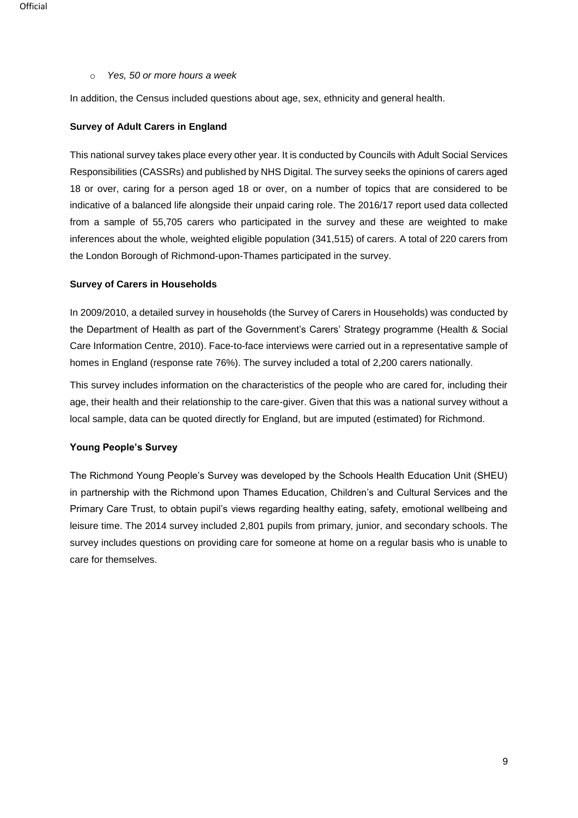#### o *Yes, 50 or more hours a week*

In addition, the Census included questions about age, sex, ethnicity and general health.

#### **Survey of Adult Carers in England**

This national survey takes place every other year. It is conducted by Councils with Adult Social Services Responsibilities (CASSRs) and published by NHS Digital. The survey seeks the opinions of carers aged 18 or over, caring for a person aged 18 or over, on a number of topics that are considered to be indicative of a balanced life alongside their unpaid caring role. The 2016/17 report used data collected from a sample of 55,705 carers who participated in the survey and these are weighted to make inferences about the whole, weighted eligible population (341,515) of carers. A total of 220 carers from the London Borough of Richmond-upon-Thames participated in the survey.

### **Survey of Carers in Households**

In 2009/2010, a detailed survey in households (the Survey of Carers in Households) was conducted by the Department of Health as part of the Government's Carers' Strategy programme (Health & Social Care Information Centre, 2010). Face-to-face interviews were carried out in a representative sample of homes in England (response rate 76%). The survey included a total of 2,200 carers nationally.

This survey includes information on the characteristics of the people who are cared for, including their age, their health and their relationship to the care-giver. Given that this was a national survey without a local sample, data can be quoted directly for England, but are imputed (estimated) for Richmond.

#### **Young People's Survey**

The Richmond Young People's Survey was developed by the Schools Health Education Unit (SHEU) in partnership with the Richmond upon Thames Education, Children's and Cultural Services and the Primary Care Trust, to obtain pupil's views regarding healthy eating, safety, emotional wellbeing and leisure time. The 2014 survey included 2,801 pupils from primary, junior, and secondary schools. The survey includes questions on providing care for someone at home on a regular basis who is unable to care for themselves.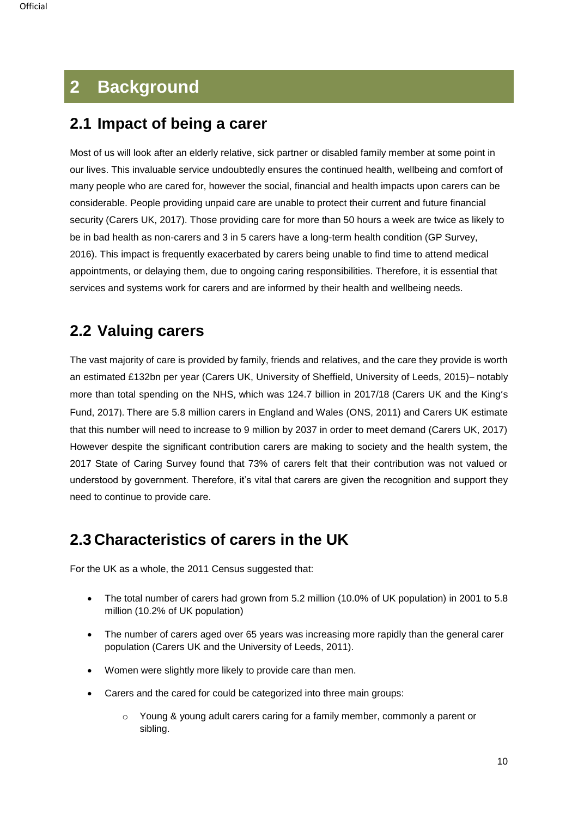# <span id="page-9-0"></span>**2 Background**

## <span id="page-9-1"></span>**2.1 Impact of being a carer**

Most of us will look after an elderly relative, sick partner or disabled family member at some point in our lives. This invaluable service undoubtedly ensures the continued health, wellbeing and comfort of many people who are cared for, however the social, financial and health impacts upon carers can be considerable. People providing unpaid care are unable to protect their current and future financial security (Carers UK, 2017). Those providing care for more than 50 hours a week are twice as likely to be in bad health as non-carers and 3 in 5 carers have a long-term health condition (GP Survey, 2016). This impact is frequently exacerbated by carers being unable to find time to attend medical appointments, or delaying them, due to ongoing caring responsibilities. Therefore, it is essential that services and systems work for carers and are informed by their health and wellbeing needs.

# <span id="page-9-2"></span>**2.2 Valuing carers**

The vast majority of care is provided by family, friends and relatives, and the care they provide is worth an estimated £132bn per year (Carers UK, University of Sheffield, University of Leeds, 2015)– notably more than total spending on the NHS, which was 124.7 billion in 2017/18 (Carers UK and the King's Fund, 2017). There are 5.8 million carers in England and Wales (ONS, 2011) and Carers UK estimate that this number will need to increase to 9 million by 2037 in order to meet demand (Carers UK, 2017) However despite the significant contribution carers are making to society and the health system, the 2017 State of Caring Survey found that 73% of carers felt that their contribution was not valued or understood by government. Therefore, it's vital that carers are given the recognition and support they need to continue to provide care.

# <span id="page-9-3"></span>**2.3 Characteristics of carers in the UK**

For the UK as a whole, the 2011 Census suggested that:

- The total number of carers had grown from 5.2 million (10.0% of UK population) in 2001 to 5.8 million (10.2% of UK population)
- The number of carers aged over 65 years was increasing more rapidly than the general carer population (Carers UK and the University of Leeds, 2011).
- Women were slightly more likely to provide care than men.
- Carers and the cared for could be categorized into three main groups:
	- Young & young adult carers caring for a family member, commonly a parent or sibling.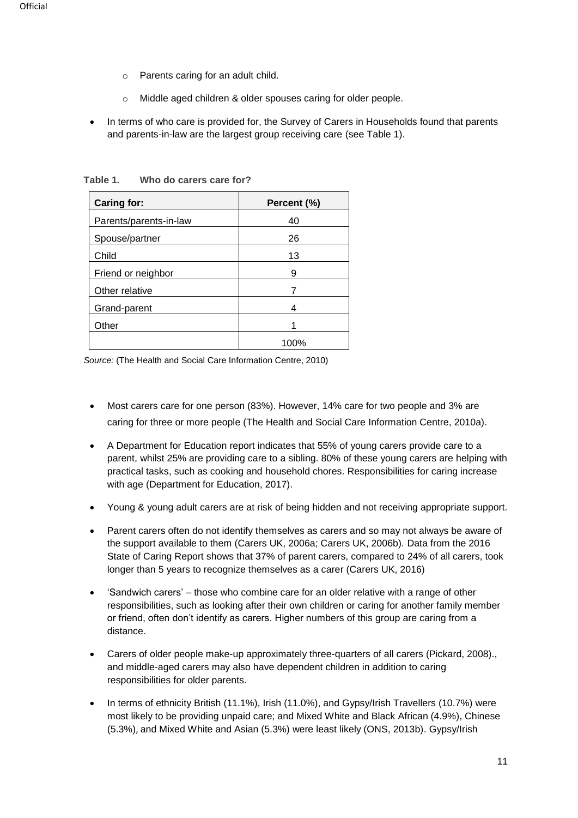- o Parents caring for an adult child.
- o Middle aged children & older spouses caring for older people.
- In terms of who care is provided for, the Survey of Carers in Households found that parents and parents-in-law are the largest group receiving care (see Table 1).

| <b>Caring for:</b>     | Percent (%) |
|------------------------|-------------|
| Parents/parents-in-law | 40          |
| Spouse/partner         | 26          |
| Child                  | 13          |
| Friend or neighbor     | 9           |
| Other relative         |             |
| Grand-parent           | 4           |
| Other                  |             |
|                        | 100%        |

**Table 1. Who do carers care for?**

*Source:* (The Health and Social Care Information Centre, 2010)

- Most carers care for one person (83%). However, 14% care for two people and 3% are caring for three or more people (The Health and Social Care Information Centre, 2010a).
- A Department for Education report indicates that 55% of young carers provide care to a parent, whilst 25% are providing care to a sibling. 80% of these young carers are helping with practical tasks, such as cooking and household chores. Responsibilities for caring increase with age (Department for Education, 2017).
- Young & young adult carers are at risk of being hidden and not receiving appropriate support.
- Parent carers often do not identify themselves as carers and so may not always be aware of the support available to them (Carers UK, 2006a; Carers UK, 2006b). Data from the 2016 State of Caring Report shows that 37% of parent carers, compared to 24% of all carers, took longer than 5 years to recognize themselves as a carer (Carers UK, 2016)
- 'Sandwich carers' those who combine care for an older relative with a range of other responsibilities, such as looking after their own children or caring for another family member or friend, often don't identify as carers. Higher numbers of this group are caring from a distance.
- Carers of older people make-up approximately three-quarters of all carers (Pickard, 2008)., and middle-aged carers may also have dependent children in addition to caring responsibilities for older parents.
- In terms of ethnicity British (11.1%), Irish (11.0%), and Gypsy/Irish Travellers (10.7%) were most likely to be providing unpaid care; and Mixed White and Black African (4.9%), Chinese (5.3%), and Mixed White and Asian (5.3%) were least likely (ONS, 2013b). Gypsy/Irish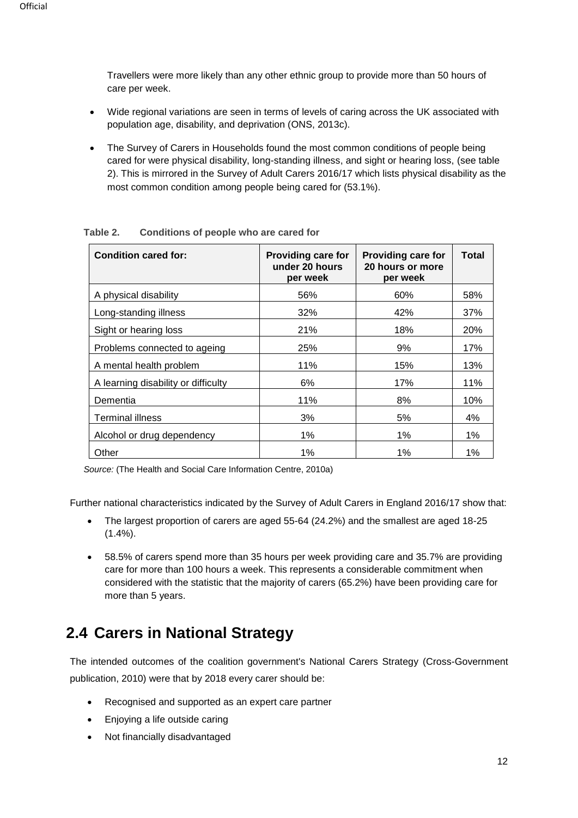Travellers were more likely than any other ethnic group to provide more than 50 hours of care per week.

- Wide regional variations are seen in terms of levels of caring across the UK associated with population age, disability, and deprivation (ONS, 2013c).
- The Survey of Carers in Households found the most common conditions of people being cared for were physical disability, long-standing illness, and sight or hearing loss, (see table 2). This is mirrored in the Survey of Adult Carers 2016/17 which lists physical disability as the most common condition among people being cared for (53.1%).

| <b>Condition cared for:</b>         | <b>Providing care for</b><br>under 20 hours<br>per week | <b>Providing care for</b><br>20 hours or more<br>per week | <b>Total</b> |
|-------------------------------------|---------------------------------------------------------|-----------------------------------------------------------|--------------|
| A physical disability               | 56%                                                     | 60%                                                       | 58%          |
| Long-standing illness               | 32%                                                     | 42%                                                       | 37%          |
| Sight or hearing loss               | 21%                                                     | 18%                                                       | <b>20%</b>   |
| Problems connected to ageing        | 25%                                                     | 9%                                                        | 17%          |
| A mental health problem             | 11%                                                     | 15%                                                       | 13%          |
| A learning disability or difficulty | 6%                                                      | 17%                                                       | 11%          |
| Dementia                            | 11%                                                     | 8%                                                        | 10%          |
| Terminal illness                    | 3%                                                      | 5%                                                        | 4%           |
| Alcohol or drug dependency          | $1\%$                                                   | 1%                                                        | 1%           |
| Other                               | $1\%$                                                   | 1%                                                        | 1%           |

**Table 2. Conditions of people who are cared for**

*Source:* (The Health and Social Care Information Centre, 2010a)

Further national characteristics indicated by the Survey of Adult Carers in England 2016/17 show that:

- The largest proportion of carers are aged 55-64 (24.2%) and the smallest are aged 18-25  $(1.4\%)$ .
- 58.5% of carers spend more than 35 hours per week providing care and 35.7% are providing care for more than 100 hours a week. This represents a considerable commitment when considered with the statistic that the majority of carers (65.2%) have been providing care for more than 5 years.

# <span id="page-11-0"></span>**2.4 Carers in National Strategy**

The intended outcomes of the coalition government's National Carers Strategy (Cross-Government publication, 2010) were that by 2018 every carer should be:

- Recognised and supported as an expert care partner
- Enjoying a life outside caring
- Not financially disadvantaged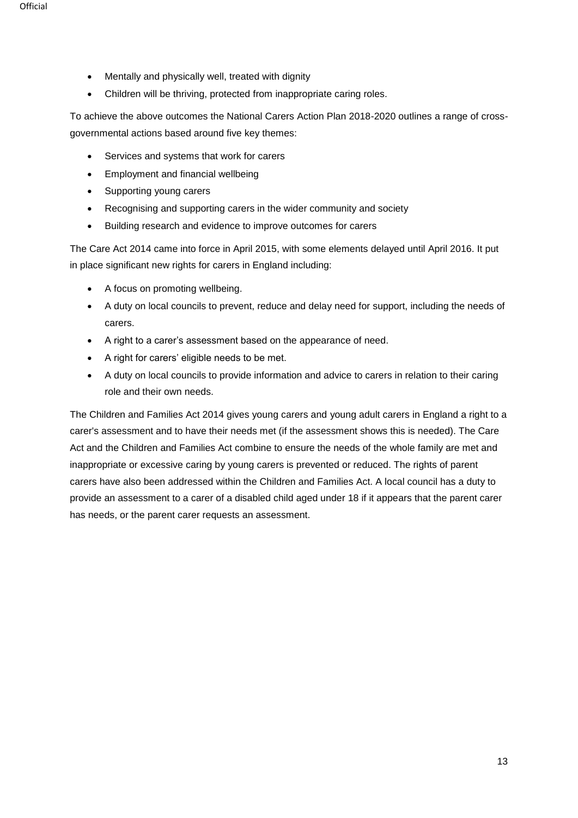- Mentally and physically well, treated with dignity
- Children will be thriving, protected from inappropriate caring roles.

To achieve the above outcomes the National Carers Action Plan 2018-2020 outlines a range of crossgovernmental actions based around five key themes:

- Services and systems that work for carers
- Employment and financial wellbeing
- Supporting young carers
- Recognising and supporting carers in the wider community and society
- Building research and evidence to improve outcomes for carers

The Care Act 2014 came into force in April 2015, with some elements delayed until April 2016. It put in place significant new rights for carers in England including:

- A focus on promoting wellbeing.
- A duty on local councils to prevent, reduce and delay need for support, including the needs of carers.
- A right to a carer's assessment based on the appearance of need.
- A right for carers' eligible needs to be met.
- A duty on local councils to provide information and advice to carers in relation to their caring role and their own needs.

The Children and Families Act 2014 gives young carers and young adult carers in England a right to a carer's assessment and to have their needs met (if the assessment shows this is needed). The Care Act and the Children and Families Act combine to ensure the needs of the whole family are met and inappropriate or excessive caring by young carers is prevented or reduced. The rights of parent carers have also been addressed within the Children and Families Act. A local council has a duty to provide an assessment to a carer of a disabled child aged under 18 if it appears that the parent carer has needs, or the parent carer requests an assessment.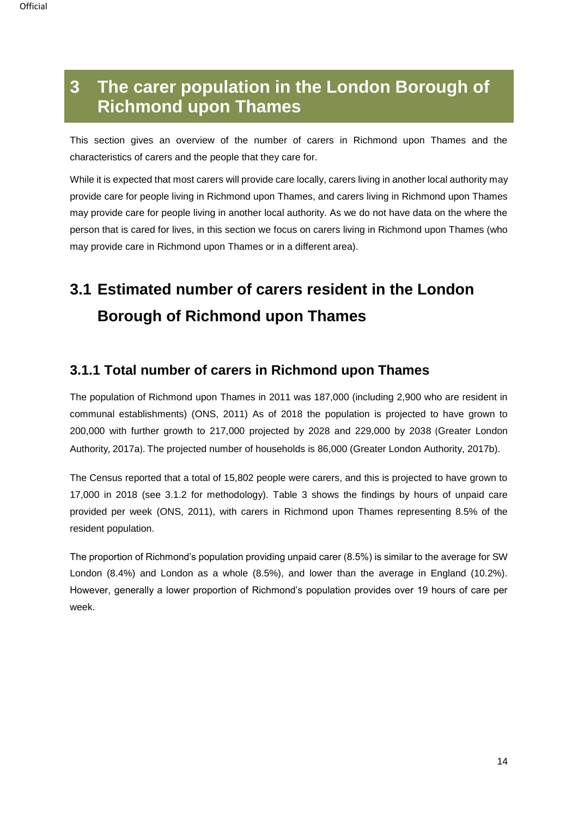# <span id="page-13-0"></span>**3 The carer population in the London Borough of Richmond upon Thames**

This section gives an overview of the number of carers in Richmond upon Thames and the characteristics of carers and the people that they care for.

While it is expected that most carers will provide care locally, carers living in another local authority may provide care for people living in Richmond upon Thames, and carers living in Richmond upon Thames may provide care for people living in another local authority. As we do not have data on the where the person that is cared for lives, in this section we focus on carers living in Richmond upon Thames (who may provide care in Richmond upon Thames or in a different area).

# <span id="page-13-1"></span>**3.1 Estimated number of carers resident in the London Borough of Richmond upon Thames**

## **3.1.1 Total number of carers in Richmond upon Thames**

The population of Richmond upon Thames in 2011 was 187,000 (including 2,900 who are resident in communal establishments) (ONS, 2011) As of 2018 the population is projected to have grown to 200,000 with further growth to 217,000 projected by 2028 and 229,000 by 2038 (Greater London Authority, 2017a). The projected number of households is 86,000 (Greater London Authority, 2017b).

The Census reported that a total of 15,802 people were carers, and this is projected to have grown to 17,000 in 2018 (see 3.1.2 for methodology). Table 3 shows the findings by hours of unpaid care provided per week (ONS, 2011), with carers in Richmond upon Thames representing 8.5% of the resident population.

The proportion of Richmond's population providing unpaid carer (8.5%) is similar to the average for SW London (8.4%) and London as a whole (8.5%), and lower than the average in England (10.2%). However, generally a lower proportion of Richmond's population provides over 19 hours of care per week.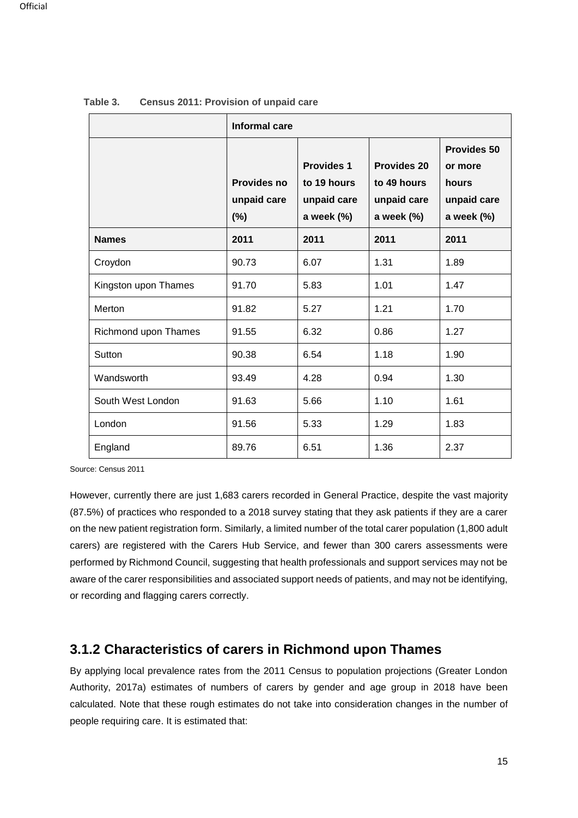|                      | Informal care                               |                                                               |                                                                |                                                                        |
|----------------------|---------------------------------------------|---------------------------------------------------------------|----------------------------------------------------------------|------------------------------------------------------------------------|
|                      | <b>Provides no</b><br>unpaid care<br>$(\%)$ | <b>Provides 1</b><br>to 19 hours<br>unpaid care<br>a week (%) | <b>Provides 20</b><br>to 49 hours<br>unpaid care<br>a week (%) | <b>Provides 50</b><br>or more<br>hours<br>unpaid care<br>a week $(\%)$ |
| <b>Names</b>         | 2011                                        | 2011                                                          | 2011                                                           | 2011                                                                   |
| Croydon              | 90.73                                       | 6.07                                                          | 1.31                                                           | 1.89                                                                   |
| Kingston upon Thames | 91.70                                       | 5.83                                                          | 1.01                                                           | 1.47                                                                   |
| Merton               | 91.82                                       | 5.27                                                          | 1.21                                                           | 1.70                                                                   |
| Richmond upon Thames | 91.55                                       | 6.32                                                          | 0.86                                                           | 1.27                                                                   |
| Sutton               | 90.38                                       | 6.54                                                          | 1.18                                                           | 1.90                                                                   |
| Wandsworth           | 93.49                                       | 4.28                                                          | 0.94                                                           | 1.30                                                                   |
| South West London    | 91.63                                       | 5.66                                                          | 1.10                                                           | 1.61                                                                   |
| London               | 91.56                                       | 5.33                                                          | 1.29                                                           | 1.83                                                                   |
| England              | 89.76                                       | 6.51                                                          | 1.36                                                           | 2.37                                                                   |

| Table 3. |  |  | <b>Census 2011: Provision of unpaid care</b> |  |  |  |
|----------|--|--|----------------------------------------------|--|--|--|
|----------|--|--|----------------------------------------------|--|--|--|

Source: Census 2011

However, currently there are just 1,683 carers recorded in General Practice, despite the vast majority (87.5%) of practices who responded to a 2018 survey stating that they ask patients if they are a carer on the new patient registration form. Similarly, a limited number of the total carer population (1,800 adult carers) are registered with the Carers Hub Service, and fewer than 300 carers assessments were performed by Richmond Council, suggesting that health professionals and support services may not be aware of the carer responsibilities and associated support needs of patients, and may not be identifying, or recording and flagging carers correctly.

## **3.1.2 Characteristics of carers in Richmond upon Thames**

By applying local prevalence rates from the 2011 Census to population projections (Greater London Authority, 2017a) estimates of numbers of carers by gender and age group in 2018 have been calculated. Note that these rough estimates do not take into consideration changes in the number of people requiring care. It is estimated that: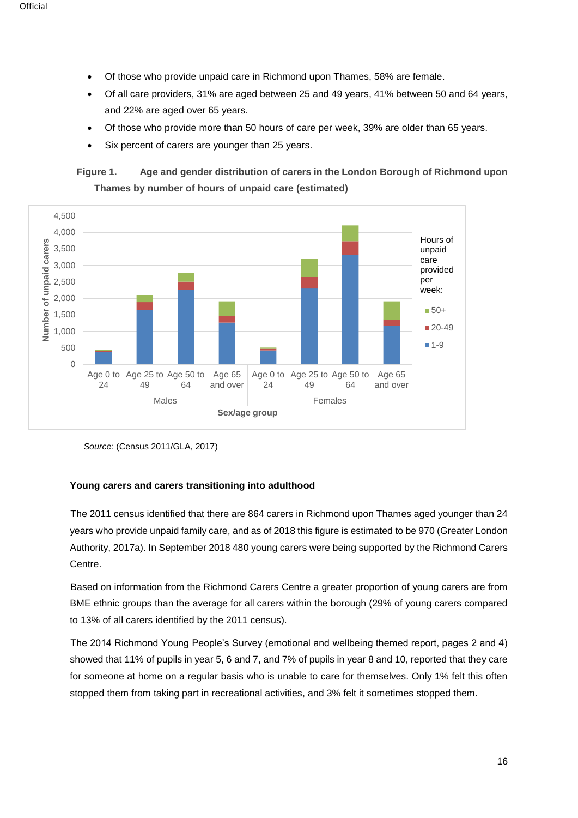- Of those who provide unpaid care in Richmond upon Thames, 58% are female.
- Of all care providers, 31% are aged between 25 and 49 years, 41% between 50 and 64 years, and 22% are aged over 65 years.
- Of those who provide more than 50 hours of care per week, 39% are older than 65 years.
- Six percent of carers are younger than 25 years.

## **Figure 1. Age and gender distribution of carers in the London Borough of Richmond upon Thames by number of hours of unpaid care (estimated)**



*Source:* (Census 2011/GLA, 2017)

### **Young carers and carers transitioning into adulthood**

The 2011 census identified that there are 864 carers in Richmond upon Thames aged younger than 24 years who provide unpaid family care, and as of 2018 this figure is estimated to be 970 (Greater London Authority, 2017a). In September 2018 480 young carers were being supported by the Richmond Carers Centre.

Based on information from the Richmond Carers Centre a greater proportion of young carers are from BME ethnic groups than the average for all carers within the borough (29% of young carers compared to 13% of all carers identified by the 2011 census).

The 2014 Richmond Young People's Survey (emotional and wellbeing themed report, pages 2 and 4) showed that 11% of pupils in year 5, 6 and 7, and 7% of pupils in year 8 and 10, reported that they care for someone at home on a regular basis who is unable to care for themselves. Only 1% felt this often stopped them from taking part in recreational activities, and 3% felt it sometimes stopped them.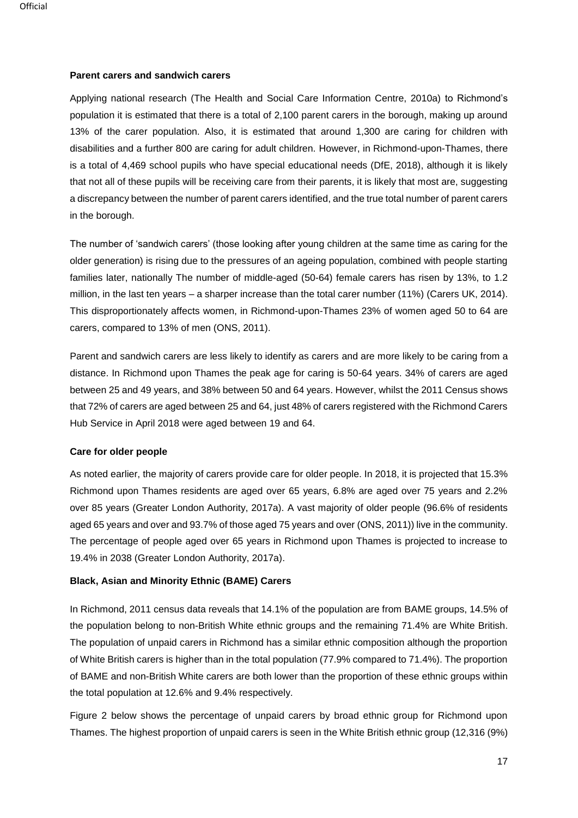#### **Parent carers and sandwich carers**

Applying national research (The Health and Social Care Information Centre, 2010a) to Richmond's population it is estimated that there is a total of 2,100 parent carers in the borough, making up around 13% of the carer population. Also, it is estimated that around 1,300 are caring for children with disabilities and a further 800 are caring for adult children. However, in Richmond-upon-Thames, there is a total of 4,469 school pupils who have special educational needs (DfE, 2018), although it is likely that not all of these pupils will be receiving care from their parents, it is likely that most are, suggesting a discrepancy between the number of parent carers identified, and the true total number of parent carers in the borough.

The number of 'sandwich carers' (those looking after young children at the same time as caring for the older generation) is rising due to the pressures of an ageing population, combined with people starting families later, nationally The number of middle-aged (50-64) female carers has risen by 13%, to 1.2 million, in the last ten years – a sharper increase than the total carer number (11%) (Carers UK, 2014). This disproportionately affects women, in Richmond-upon-Thames 23% of women aged 50 to 64 are carers, compared to 13% of men (ONS, 2011).

Parent and sandwich carers are less likely to identify as carers and are more likely to be caring from a distance. In Richmond upon Thames the peak age for caring is 50-64 years. 34% of carers are aged between 25 and 49 years, and 38% between 50 and 64 years. However, whilst the 2011 Census shows that 72% of carers are aged between 25 and 64, just 48% of carers registered with the Richmond Carers Hub Service in April 2018 were aged between 19 and 64.

#### **Care for older people**

As noted earlier, the majority of carers provide care for older people. In 2018, it is projected that 15.3% Richmond upon Thames residents are aged over 65 years, 6.8% are aged over 75 years and 2.2% over 85 years (Greater London Authority, 2017a). A vast majority of older people (96.6% of residents aged 65 years and over and 93.7% of those aged 75 years and over (ONS, 2011)) live in the community. The percentage of people aged over 65 years in Richmond upon Thames is projected to increase to 19.4% in 2038 (Greater London Authority, 2017a).

#### **Black, Asian and Minority Ethnic (BAME) Carers**

In Richmond, 2011 census data reveals that 14.1% of the population are from BAME groups, 14.5% of the population belong to non-British White ethnic groups and the remaining 71.4% are White British. The population of unpaid carers in Richmond has a similar ethnic composition although the proportion of White British carers is higher than in the total population (77.9% compared to 71.4%). The proportion of BAME and non-British White carers are both lower than the proportion of these ethnic groups within the total population at 12.6% and 9.4% respectively.

Figure 2 below shows the percentage of unpaid carers by broad ethnic group for Richmond upon Thames. The highest proportion of unpaid carers is seen in the White British ethnic group (12,316 (9%)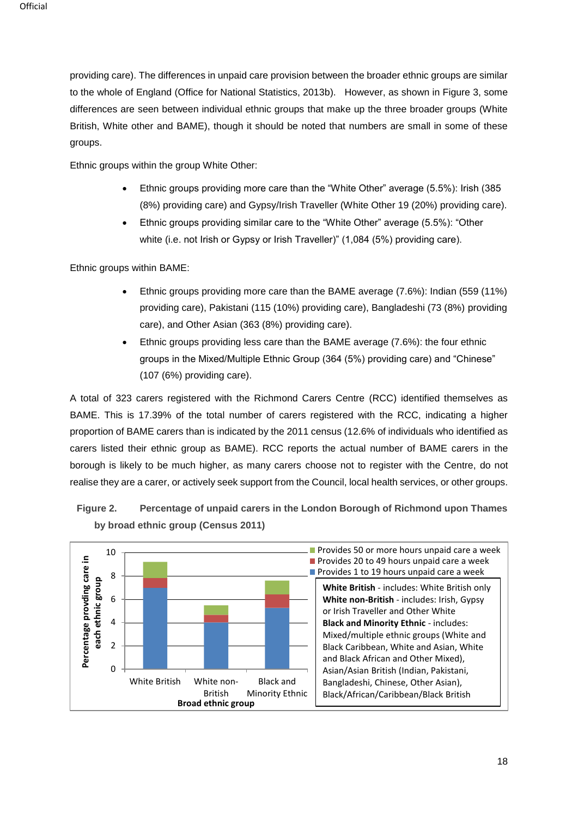providing care). The differences in unpaid care provision between the broader ethnic groups are similar to the whole of England (Office for National Statistics, 2013b). However, as shown in Figure 3, some differences are seen between individual ethnic groups that make up the three broader groups (White British, White other and BAME), though it should be noted that numbers are small in some of these groups.

Ethnic groups within the group White Other:

- Ethnic groups providing more care than the "White Other" average (5.5%): Irish (385 (8%) providing care) and Gypsy/Irish Traveller (White Other 19 (20%) providing care).
- Ethnic groups providing similar care to the "White Other" average (5.5%): "Other white (i.e. not Irish or Gypsy or Irish Traveller)" (1,084 (5%) providing care).

Ethnic groups within BAME:

- Ethnic groups providing more care than the BAME average (7.6%): Indian (559 (11%) providing care), Pakistani (115 (10%) providing care), Bangladeshi (73 (8%) providing care), and Other Asian (363 (8%) providing care).
- Ethnic groups providing less care than the BAME average (7.6%): the four ethnic groups in the Mixed/Multiple Ethnic Group (364 (5%) providing care) and "Chinese" (107 (6%) providing care).

A total of 323 carers registered with the Richmond Carers Centre (RCC) identified themselves as BAME. This is 17.39% of the total number of carers registered with the RCC, indicating a higher proportion of BAME carers than is indicated by the 2011 census (12.6% of individuals who identified as carers listed their ethnic group as BAME). RCC reports the actual number of BAME carers in the borough is likely to be much higher, as many carers choose not to register with the Centre, do not realise they are a carer, or actively seek support from the Council, local health services, or other groups.



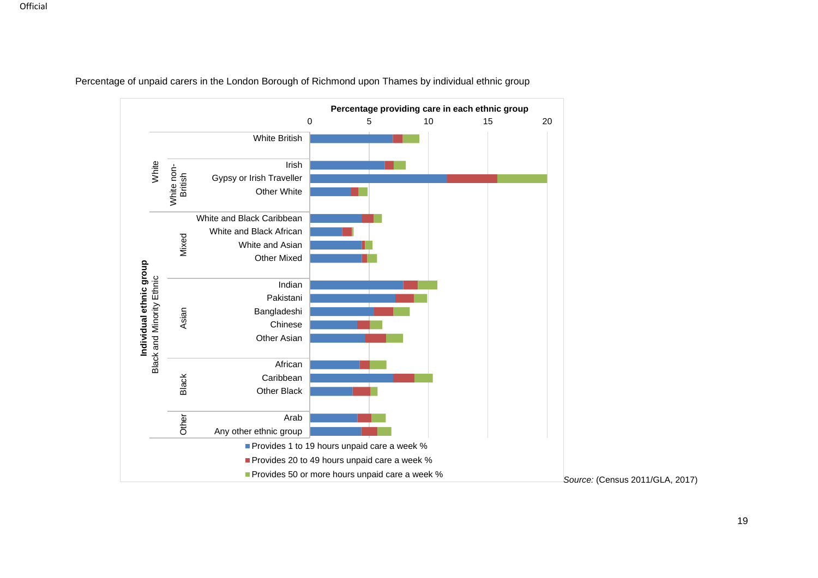

Percentage of unpaid carers in the London Borough of Richmond upon Thames by individual ethnic group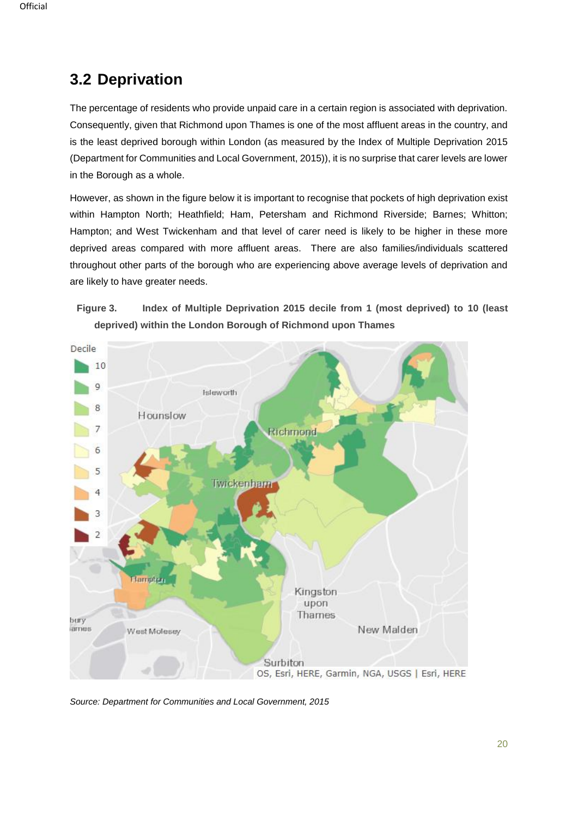# <span id="page-19-0"></span>**3.2 Deprivation**

The percentage of residents who provide unpaid care in a certain region is associated with deprivation. Consequently, given that Richmond upon Thames is one of the most affluent areas in the country, and is the least deprived borough within London (as measured by the Index of Multiple Deprivation 2015 (Department for Communities and Local Government, 2015)), it is no surprise that carer levels are lower in the Borough as a whole.

However, as shown in the figure below it is important to recognise that pockets of high deprivation exist within Hampton North; Heathfield; Ham, Petersham and Richmond Riverside; Barnes; Whitton; Hampton; and West Twickenham and that level of carer need is likely to be higher in these more deprived areas compared with more affluent areas. There are also families/individuals scattered throughout other parts of the borough who are experiencing above average levels of deprivation and are likely to have greater needs.





*Source: Department for Communities and Local Government, 2015*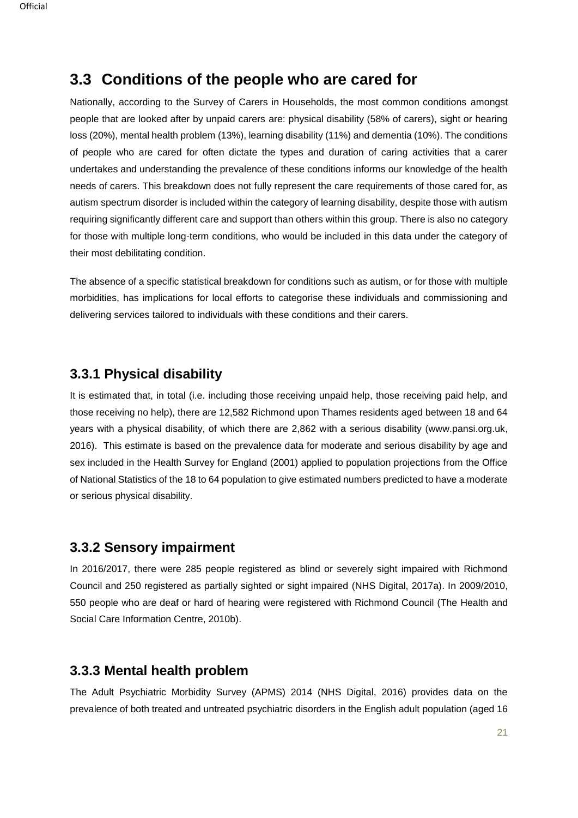## <span id="page-20-0"></span>**3.3 Conditions of the people who are cared for**

Nationally, according to the Survey of Carers in Households, the most common conditions amongst people that are looked after by unpaid carers are: physical disability (58% of carers), sight or hearing loss (20%), mental health problem (13%), learning disability (11%) and dementia (10%). The conditions of people who are cared for often dictate the types and duration of caring activities that a carer undertakes and understanding the prevalence of these conditions informs our knowledge of the health needs of carers. This breakdown does not fully represent the care requirements of those cared for, as autism spectrum disorder is included within the category of learning disability, despite those with autism requiring significantly different care and support than others within this group. There is also no category for those with multiple long-term conditions, who would be included in this data under the category of their most debilitating condition.

The absence of a specific statistical breakdown for conditions such as autism, or for those with multiple morbidities, has implications for local efforts to categorise these individuals and commissioning and delivering services tailored to individuals with these conditions and their carers.

## **3.3.1 Physical disability**

It is estimated that, in total (i.e. including those receiving unpaid help, those receiving paid help, and those receiving no help), there are 12,582 Richmond upon Thames residents aged between 18 and 64 years with a physical disability, of which there are 2,862 with a serious disability (www.pansi.org.uk, 2016). This estimate is based on the prevalence data for moderate and serious disability by age and sex included in the Health Survey for England (2001) applied to population projections from the Office of National Statistics of the 18 to 64 population to give estimated numbers predicted to have a moderate or serious physical disability.

## **3.3.2 Sensory impairment**

In 2016/2017, there were 285 people registered as blind or severely sight impaired with Richmond Council and 250 registered as partially sighted or sight impaired (NHS Digital, 2017a). In 2009/2010, 550 people who are deaf or hard of hearing were registered with Richmond Council (The Health and Social Care Information Centre, 2010b).

## **3.3.3 Mental health problem**

The Adult Psychiatric Morbidity Survey (APMS) 2014 (NHS Digital, 2016) provides data on the prevalence of both treated and untreated psychiatric disorders in the English adult population (aged 16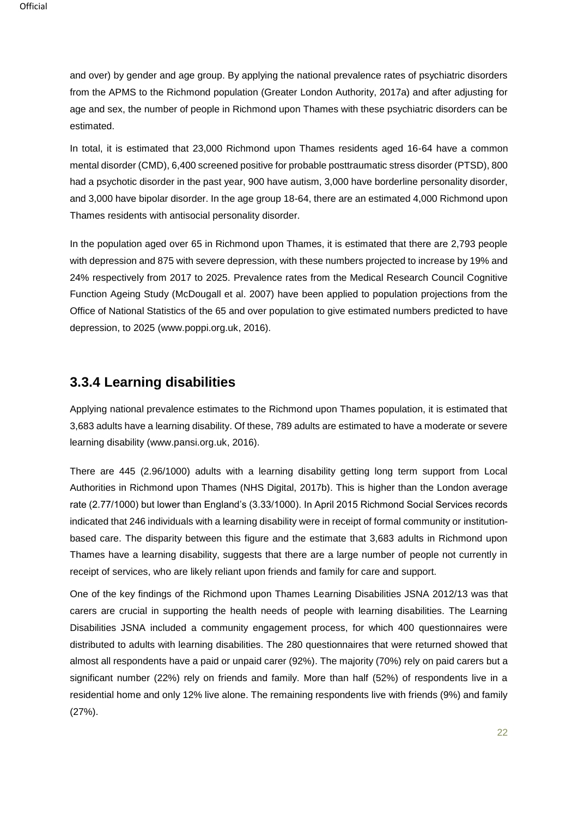and over) by gender and age group. By applying the national prevalence rates of psychiatric disorders from the APMS to the Richmond population (Greater London Authority, 2017a) and after adjusting for age and sex, the number of people in Richmond upon Thames with these psychiatric disorders can be estimated.

In total, it is estimated that 23,000 Richmond upon Thames residents aged 16-64 have a common mental disorder (CMD), 6,400 screened positive for probable posttraumatic stress disorder (PTSD), 800 had a psychotic disorder in the past year, 900 have autism, 3,000 have borderline personality disorder, and 3,000 have bipolar disorder. In the age group 18-64, there are an estimated 4,000 Richmond upon Thames residents with antisocial personality disorder.

In the population aged over 65 in Richmond upon Thames, it is estimated that there are 2,793 people with depression and 875 with severe depression, with these numbers projected to increase by 19% and 24% respectively from 2017 to 2025. Prevalence rates from the Medical Research Council Cognitive Function Ageing Study (McDougall et al. 2007) have been applied to population projections from the Office of National Statistics of the 65 and over population to give estimated numbers predicted to have depression, to 2025 (www.poppi.org.uk, 2016).

## **3.3.4 Learning disabilities**

Applying national prevalence estimates to the Richmond upon Thames population, it is estimated that 3,683 adults have a learning disability. Of these, 789 adults are estimated to have a moderate or severe learning disability (www.pansi.org.uk, 2016).

There are 445 (2.96/1000) adults with a learning disability getting long term support from Local Authorities in Richmond upon Thames (NHS Digital, 2017b). This is higher than the London average rate (2.77/1000) but lower than England's (3.33/1000). In April 2015 Richmond Social Services records indicated that 246 individuals with a learning disability were in receipt of formal community or institutionbased care. The disparity between this figure and the estimate that 3,683 adults in Richmond upon Thames have a learning disability, suggests that there are a large number of people not currently in receipt of services, who are likely reliant upon friends and family for care and support.

One of the key findings of the Richmond upon Thames Learning Disabilities JSNA 2012/13 was that carers are crucial in supporting the health needs of people with learning disabilities. The Learning Disabilities JSNA included a community engagement process, for which 400 questionnaires were distributed to adults with learning disabilities. The 280 questionnaires that were returned showed that almost all respondents have a paid or unpaid carer (92%). The majority (70%) rely on paid carers but a significant number (22%) rely on friends and family. More than half (52%) of respondents live in a residential home and only 12% live alone. The remaining respondents live with friends (9%) and family (27%).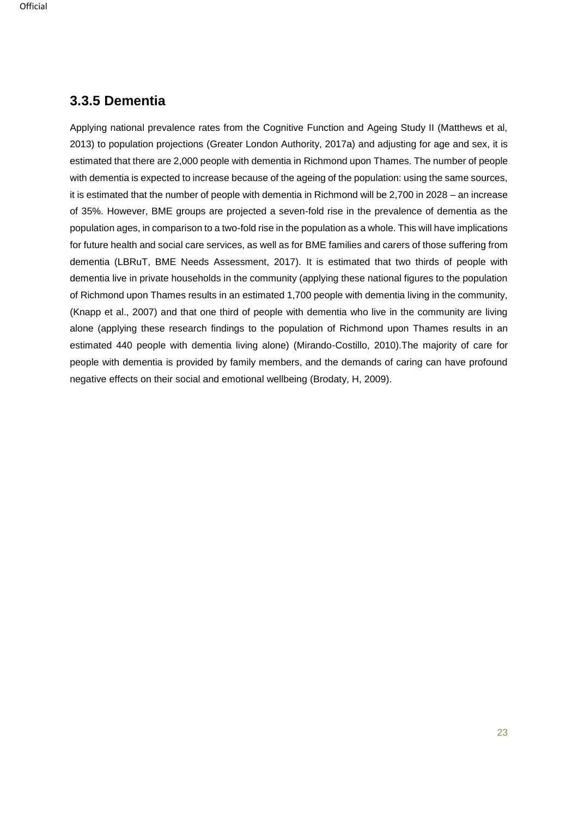## **3.3.5 Dementia**

Applying national prevalence rates from the Cognitive Function and Ageing Study II (Matthews et al, 2013) to population projections (Greater London Authority, 2017a) and adjusting for age and sex, it is estimated that there are 2,000 people with dementia in Richmond upon Thames. The number of people with dementia is expected to increase because of the ageing of the population: using the same sources, it is estimated that the number of people with dementia in Richmond will be 2,700 in 2028 – an increase of 35%. However, BME groups are projected a seven-fold rise in the prevalence of dementia as the population ages, in comparison to a two-fold rise in the population as a whole. This will have implications for future health and social care services, as well as for BME families and carers of those suffering from dementia (LBRuT, BME Needs Assessment, 2017). It is estimated that two thirds of people with dementia live in private households in the community (applying these national figures to the population of Richmond upon Thames results in an estimated 1,700 people with dementia living in the community, (Knapp et al., 2007) and that one third of people with dementia who live in the community are living alone (applying these research findings to the population of Richmond upon Thames results in an estimated 440 people with dementia living alone) (Mirando-Costillo, 2010).The majority of care for people with dementia is provided by family members, and the demands of caring can have profound negative effects on their social and emotional wellbeing (Brodaty, H, 2009).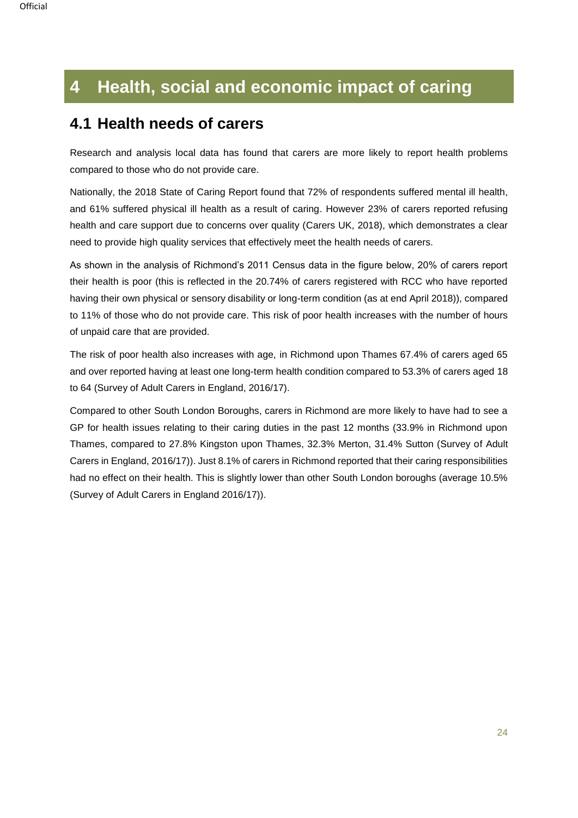# <span id="page-23-0"></span>**4 Health, social and economic impact of caring**

## <span id="page-23-1"></span>**4.1 Health needs of carers**

Research and analysis local data has found that carers are more likely to report health problems compared to those who do not provide care.

Nationally, the 2018 State of Caring Report found that 72% of respondents suffered mental ill health, and 61% suffered physical ill health as a result of caring. However 23% of carers reported refusing health and care support due to concerns over quality (Carers UK, 2018), which demonstrates a clear need to provide high quality services that effectively meet the health needs of carers.

As shown in the analysis of Richmond's 2011 Census data in the figure below, 20% of carers report their health is poor (this is reflected in the 20.74% of carers registered with RCC who have reported having their own physical or sensory disability or long-term condition (as at end April 2018)), compared to 11% of those who do not provide care. This risk of poor health increases with the number of hours of unpaid care that are provided.

The risk of poor health also increases with age, in Richmond upon Thames 67.4% of carers aged 65 and over reported having at least one long-term health condition compared to 53.3% of carers aged 18 to 64 (Survey of Adult Carers in England, 2016/17).

Compared to other South London Boroughs, carers in Richmond are more likely to have had to see a GP for health issues relating to their caring duties in the past 12 months (33.9% in Richmond upon Thames, compared to 27.8% Kingston upon Thames, 32.3% Merton, 31.4% Sutton (Survey of Adult Carers in England, 2016/17)). Just 8.1% of carers in Richmond reported that their caring responsibilities had no effect on their health. This is slightly lower than other South London boroughs (average 10.5% (Survey of Adult Carers in England 2016/17)).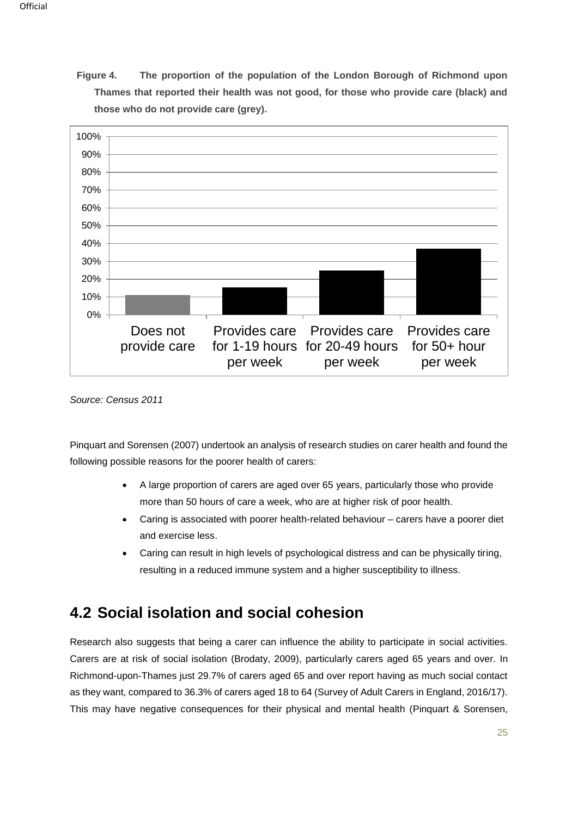**Figure 4. The proportion of the population of the London Borough of Richmond upon Thames that reported their health was not good, for those who provide care (black) and those who do not provide care (grey).** 



*Source: Census 2011*

Pinquart and Sorensen (2007) undertook an analysis of research studies on carer health and found the following possible reasons for the poorer health of carers:

- A large proportion of carers are aged over 65 years, particularly those who provide more than 50 hours of care a week, who are at higher risk of poor health.
- Caring is associated with poorer health-related behaviour carers have a poorer diet and exercise less.
- Caring can result in high levels of psychological distress and can be physically tiring, resulting in a reduced immune system and a higher susceptibility to illness.

# <span id="page-24-0"></span>**4.2 Social isolation and social cohesion**

Research also suggests that being a carer can influence the ability to participate in social activities. Carers are at risk of social isolation (Brodaty, 2009), particularly carers aged 65 years and over. In Richmond-upon-Thames just 29.7% of carers aged 65 and over report having as much social contact as they want, compared to 36.3% of carers aged 18 to 64 (Survey of Adult Carers in England, 2016/17). This may have negative consequences for their physical and mental health (Pinquart & Sorensen,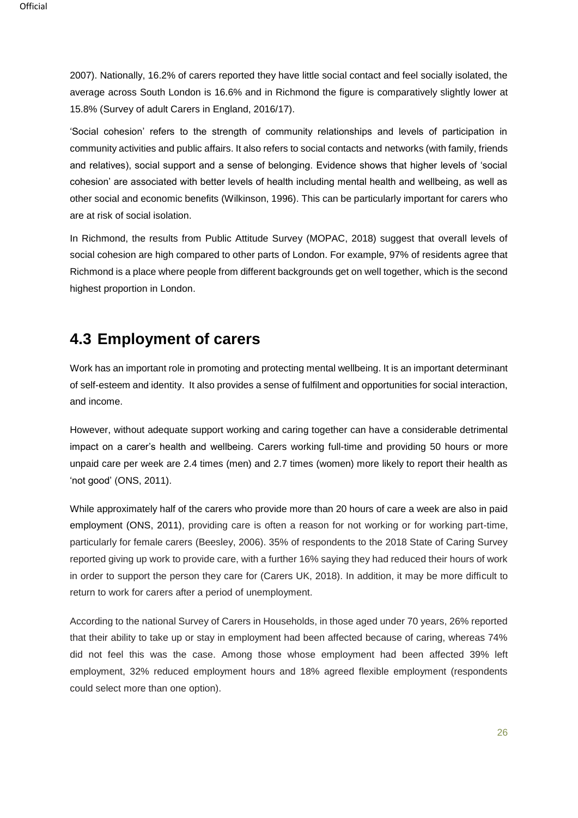2007). Nationally, 16.2% of carers reported they have little social contact and feel socially isolated, the average across South London is 16.6% and in Richmond the figure is comparatively slightly lower at 15.8% (Survey of adult Carers in England, 2016/17).

'Social cohesion' refers to the strength of community relationships and levels of participation in community activities and public affairs. It also refers to social contacts and networks (with family, friends and relatives), social support and a sense of belonging. Evidence shows that higher levels of 'social cohesion' are associated with better levels of health including mental health and wellbeing, as well as other social and economic benefits (Wilkinson, 1996). This can be particularly important for carers who are at risk of social isolation.

In Richmond, the results from Public Attitude Survey (MOPAC, 2018) suggest that overall levels of social cohesion are high compared to other parts of London. For example, 97% of residents agree that Richmond is a place where people from different backgrounds get on well together, which is the second highest proportion in London.

# <span id="page-25-0"></span>**4.3 Employment of carers**

Work has an important role in promoting and protecting mental wellbeing. It is an important determinant of self-esteem and identity. It also provides a sense of fulfilment and opportunities for social interaction, and income.

However, without adequate support working and caring together can have a considerable detrimental impact on a carer's health and wellbeing. Carers working full-time and providing 50 hours or more unpaid care per week are 2.4 times (men) and 2.7 times (women) more likely to report their health as 'not good' (ONS, 2011).

While approximately half of the carers who provide more than 20 hours of care a week are also in paid employment (ONS, 2011), providing care is often a reason for not working or for working part-time, particularly for female carers (Beesley, 2006). 35% of respondents to the 2018 State of Caring Survey reported giving up work to provide care, with a further 16% saying they had reduced their hours of work in order to support the person they care for (Carers UK, 2018). In addition, it may be more difficult to return to work for carers after a period of unemployment.

According to the national Survey of Carers in Households, in those aged under 70 years, 26% reported that their ability to take up or stay in employment had been affected because of caring, whereas 74% did not feel this was the case. Among those whose employment had been affected 39% left employment, 32% reduced employment hours and 18% agreed flexible employment (respondents could select more than one option).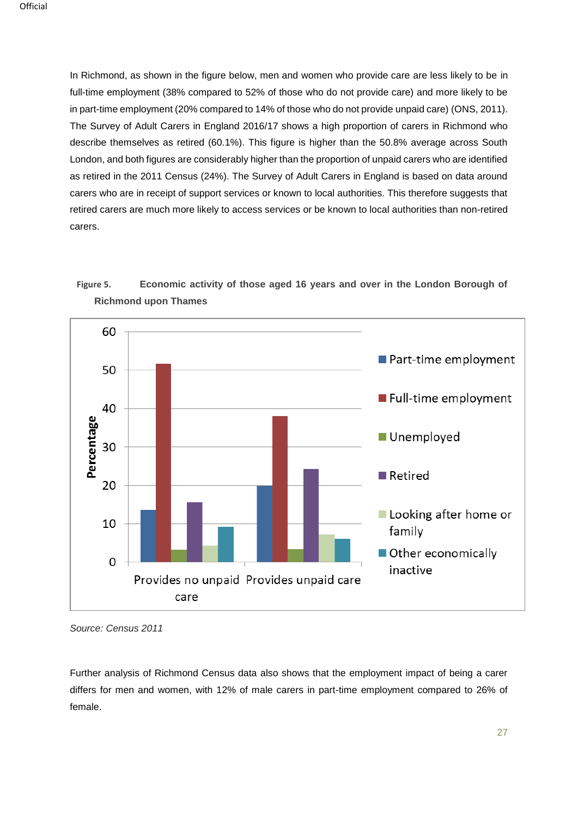In Richmond, as shown in the figure below, men and women who provide care are less likely to be in full-time employment (38% compared to 52% of those who do not provide care) and more likely to be in part-time employment (20% compared to 14% of those who do not provide unpaid care) (ONS, 2011). The Survey of Adult Carers in England 2016/17 shows a high proportion of carers in Richmond who describe themselves as retired (60.1%). This figure is higher than the 50.8% average across South London, and both figures are considerably higher than the proportion of unpaid carers who are identified as retired in the 2011 Census (24%). The Survey of Adult Carers in England is based on data around carers who are in receipt of support services or known to local authorities. This therefore suggests that retired carers are much more likely to access services or be known to local authorities than non-retired carers.

## **Figure 5. Economic activity of those aged 16 years and over in the London Borough of Richmond upon Thames**



*Source: Census 2011*

Further analysis of Richmond Census data also shows that the employment impact of being a carer differs for men and women, with 12% of male carers in part-time employment compared to 26% of female.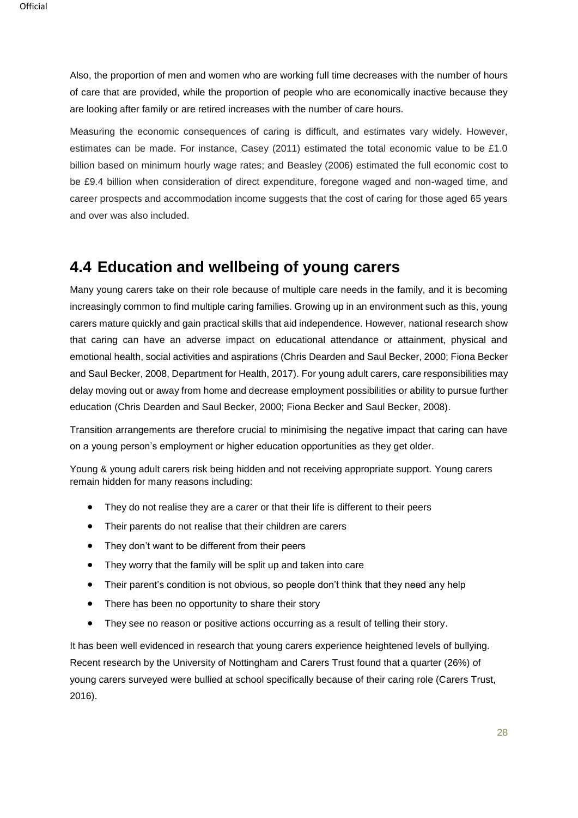Also, the proportion of men and women who are working full time decreases with the number of hours of care that are provided, while the proportion of people who are economically inactive because they are looking after family or are retired increases with the number of care hours.

Measuring the economic consequences of caring is difficult, and estimates vary widely. However, estimates can be made. For instance, Casey (2011) estimated the total economic value to be £1.0 billion based on minimum hourly wage rates; and Beasley (2006) estimated the full economic cost to be £9.4 billion when consideration of direct expenditure, foregone waged and non-waged time, and career prospects and accommodation income suggests that the cost of caring for those aged 65 years and over was also included.

## <span id="page-27-0"></span>**4.4 Education and wellbeing of young carers**

Many young carers take on their role because of multiple care needs in the family, and it is becoming increasingly common to find multiple caring families. Growing up in an environment such as this, young carers mature quickly and gain practical skills that aid independence. However, national research show that caring can have an adverse impact on educational attendance or attainment, physical and emotional health, social activities and aspirations (Chris Dearden and Saul Becker, 2000; Fiona Becker and Saul Becker, 2008, Department for Health, 2017). For young adult carers, care responsibilities may delay moving out or away from home and decrease employment possibilities or ability to pursue further education (Chris Dearden and Saul Becker, 2000; Fiona Becker and Saul Becker, 2008).

Transition arrangements are therefore crucial to minimising the negative impact that caring can have on a young person's employment or higher education opportunities as they get older.

Young & young adult carers risk being hidden and not receiving appropriate support. Young carers remain hidden for many reasons including:

- They do not realise they are a carer or that their life is different to their peers
- Their parents do not realise that their children are carers
- They don't want to be different from their peers
- They worry that the family will be split up and taken into care
- Their parent's condition is not obvious, so people don't think that they need any help
- There has been no opportunity to share their story
- They see no reason or positive actions occurring as a result of telling their story.

It has been well evidenced in research that young carers experience heightened levels of bullying. Recent research by the University of Nottingham and Carers Trust found that a quarter (26%) of young carers surveyed were bullied at school specifically because of their caring role (Carers Trust, 2016).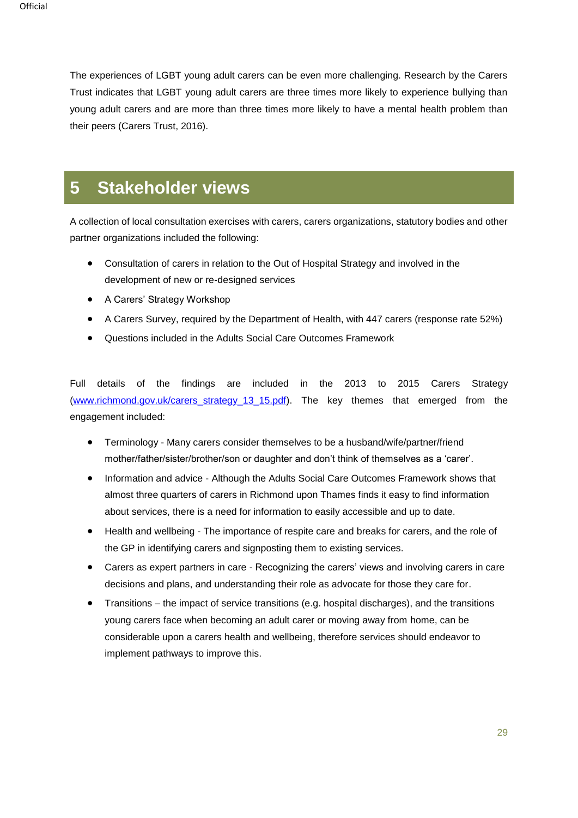The experiences of LGBT young adult carers can be even more challenging. Research by the Carers Trust indicates that LGBT young adult carers are three times more likely to experience bullying than young adult carers and are more than three times more likely to have a mental health problem than their peers (Carers Trust, 2016).

# <span id="page-28-0"></span>**5 Stakeholder views**

A collection of local consultation exercises with carers, carers organizations, statutory bodies and other partner organizations included the following:

- Consultation of carers in relation to the Out of Hospital Strategy and involved in the development of new or re-designed services
- A Carers' Strategy Workshop
- A Carers Survey, required by the Department of Health, with 447 carers (response rate 52%)
- Questions included in the Adults Social Care Outcomes Framework

Full details of the findings are included in the 2013 to 2015 Carers Strategy [\(www.richmond.gov.uk/carers\\_strategy\\_13\\_15.pdf\)](http://www.richmond.gov.uk/carers_strategy_13_15.pdf). The key themes that emerged from the engagement included:

- Terminology Many carers consider themselves to be a husband/wife/partner/friend mother/father/sister/brother/son or daughter and don't think of themselves as a 'carer'.
- Information and advice Although the Adults Social Care Outcomes Framework shows that almost three quarters of carers in Richmond upon Thames finds it easy to find information about services, there is a need for information to easily accessible and up to date.
- Health and wellbeing The importance of respite care and breaks for carers, and the role of the GP in identifying carers and signposting them to existing services.
- Carers as expert partners in care Recognizing the carers' views and involving carers in care decisions and plans, and understanding their role as advocate for those they care for.
- Transitions the impact of service transitions (e.g. hospital discharges), and the transitions young carers face when becoming an adult carer or moving away from home, can be considerable upon a carers health and wellbeing, therefore services should endeavor to implement pathways to improve this.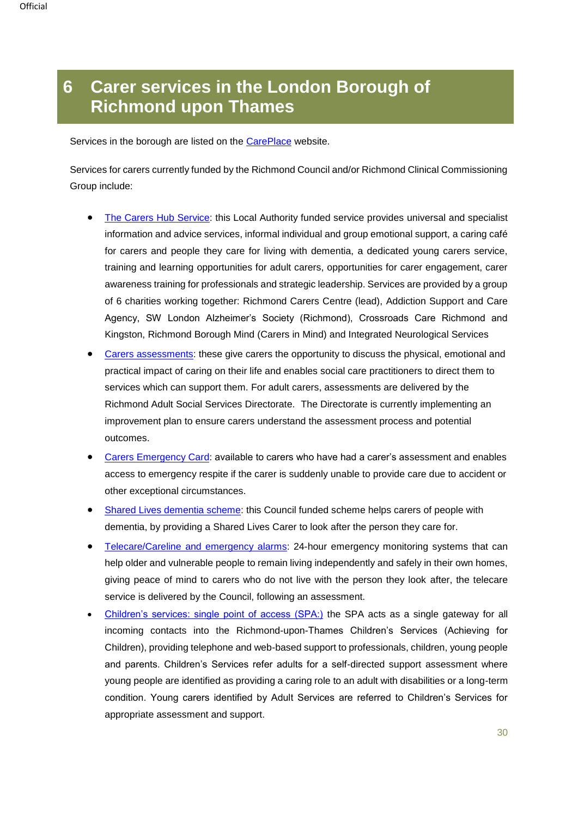# <span id="page-29-0"></span>**6 Carer services in the London Borough of Richmond upon Thames**

Services in the borough are listed on the [CarePlace](https://www.careplace.org.uk/) website.

Services for carers currently funded by the Richmond Council and/or Richmond Clinical Commissioning Group include:

- [The Carers Hub Service:](https://www.richmondchs.org/) this Local Authority funded service provides universal and specialist information and advice services, informal individual and group emotional support, a caring café for carers and people they care for living with dementia, a dedicated young carers service, training and learning opportunities for adult carers, opportunities for carer engagement, carer awareness training for professionals and strategic leadership. Services are provided by a group of 6 charities working together: Richmond Carers Centre (lead), Addiction Support and Care Agency, SW London Alzheimer's Society (Richmond), Crossroads Care Richmond and Kingston, Richmond Borough Mind (Carers in Mind) and Integrated Neurological Services
- [Carers assessments:](http://www.richmond.gov.uk/carers_assessments) these give carers the opportunity to discuss the physical, emotional and practical impact of caring on their life and enables social care practitioners to direct them to services which can support them. For adult carers, assessments are delivered by the Richmond Adult Social Services Directorate. The Directorate is currently implementing an improvement plan to ensure carers understand the assessment process and potential outcomes.
- [Carers Emergency Card:](http://www.richmond.gov.uk/home/health_and_social_care/adult_social_care/i_need_help_with/being_a_carer/planning_for_crisis/emergency_help_for_the_person_you_care_for.htm) available to carers who have had a carer's assessment and enables access to emergency respite if the carer is suddenly unable to provide care due to accident or other exceptional circumstances.
- [Shared Lives dementia scheme:](http://www.richmond.gov.uk/shared_lives) this Council funded scheme helps carers of people with dementia, by providing a Shared Lives Carer to look after the person they care for.
- [Telecare/Careline and emergency alarms:](http://www.richmond.gov.uk/telecare_and_careline_equipment_and_emergency_alarm_systems) 24-hour emergency monitoring systems that can help older and vulnerable people to remain living independently and safely in their own homes, giving peace of mind to carers who do not live with the person they look after, the telecare service is delivered by the Council, following an assessment.
- [Children's services: single point of access \(SPA:\)](http://www.richmond.gov.uk/home/health_and_social_care/children_and_family_care/child_protection.htm) the SPA acts as a single gateway for all incoming contacts into the Richmond-upon-Thames Children's Services (Achieving for Children), providing telephone and web-based support to professionals, children, young people and parents. Children's Services refer adults for a self-directed support assessment where young people are identified as providing a caring role to an adult with disabilities or a long-term condition. Young carers identified by Adult Services are referred to Children's Services for appropriate assessment and support.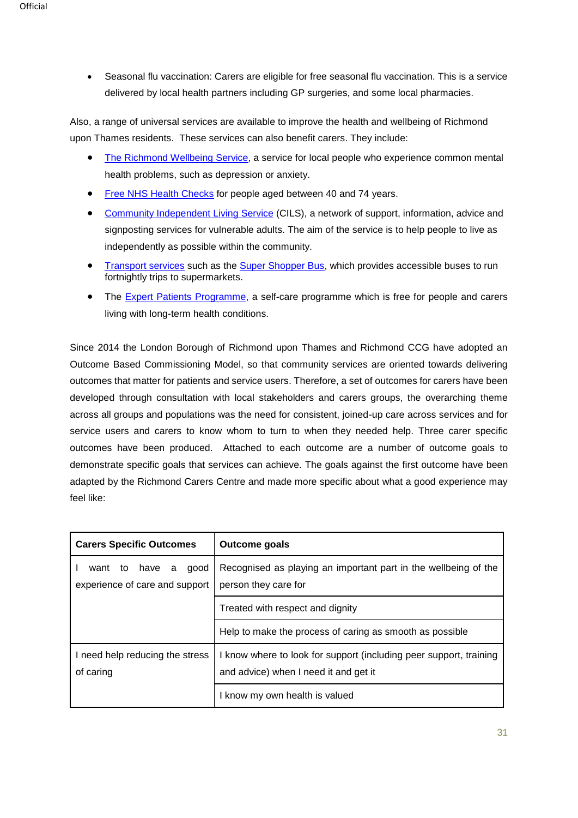• Seasonal flu vaccination: Carers are eligible for free seasonal flu vaccination. This is a service delivered by local health partners including GP surgeries, and some local pharmacies.

Also, a range of universal services are available to improve the health and wellbeing of Richmond upon Thames residents. These services can also benefit carers. They include:

- [The Richmond Wellbeing Service,](http://www.rws.eastlondon.nhs.uk/) a service for local people who experience common mental health problems, such as depression or anxiety.
- [Free NHS Health Checks](http://www.richmond.gov.uk/nhs_health_check) for people aged between 40 and 74 years.
- [Community Independent Living Service](https://richmondcareandsupport.org.uk/i-need-help-with/getting-out-and-about/community-independent-living-service.aspx) (CILS), a network of support, information, advice and signposting services for vulnerable adults. The aim of the service is to help people to live as independently as possible within the community.
- [Transport services](https://richmondcareandsupport.org.uk/i-need-help-with/getting-out-and-about/keeping-mobile-getting-around/keeping-mobile/being-driven.aspx) such as the [Super Shopper Bus,](https://richmondcareandsupport.org.uk/i-need-help-with/getting-out-and-about/keeping-mobile-getting-around/local-transport/super-shopper-bus.aspx) which provides accessible buses to run fortnightly trips to supermarkets.
- The [Expert Patients Programme,](https://www.hounslowccg.nhs.uk/your-services/self-care/expert-patient-programme.aspx) a self-care programme which is free for people and carers living with long-term health conditions.

Since 2014 the London Borough of Richmond upon Thames and Richmond CCG have adopted an Outcome Based Commissioning Model, so that community services are oriented towards delivering outcomes that matter for patients and service users. Therefore, a set of outcomes for carers have been developed through consultation with local stakeholders and carers groups, the overarching theme across all groups and populations was the need for consistent, joined-up care across services and for service users and carers to know whom to turn to when they needed help. Three carer specific outcomes have been produced. Attached to each outcome are a number of outcome goals to demonstrate specific goals that services can achieve. The goals against the first outcome have been adapted by the Richmond Carers Centre and made more specific about what a good experience may feel like:

| <b>Carers Specific Outcomes</b>                                  | <b>Outcome goals</b>                                                                                        |  |
|------------------------------------------------------------------|-------------------------------------------------------------------------------------------------------------|--|
| to have<br>a a<br>qood<br>want<br>experience of care and support | Recognised as playing an important part in the wellbeing of the<br>person they care for                     |  |
|                                                                  | Treated with respect and dignity                                                                            |  |
|                                                                  | Help to make the process of caring as smooth as possible                                                    |  |
| I need help reducing the stress<br>of caring                     | I know where to look for support (including peer support, training<br>and advice) when I need it and get it |  |
|                                                                  | know my own health is valued                                                                                |  |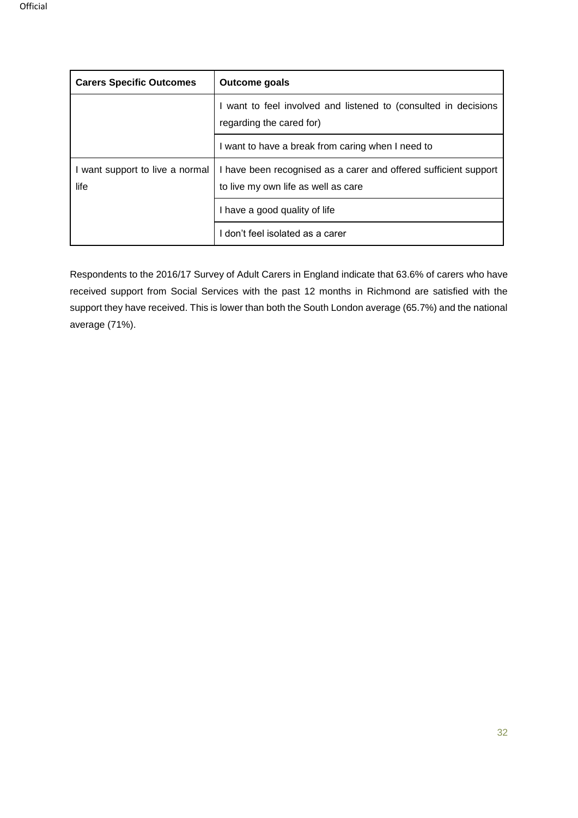| <b>Carers Specific Outcomes</b>         | <b>Outcome goals</b>                                                                                    |
|-----------------------------------------|---------------------------------------------------------------------------------------------------------|
|                                         | I want to feel involved and listened to (consulted in decisions<br>regarding the cared for)             |
|                                         | I want to have a break from caring when I need to                                                       |
| I want support to live a normal<br>life | I have been recognised as a carer and offered sufficient support<br>to live my own life as well as care |
|                                         | I have a good quality of life                                                                           |
|                                         | don't feel isolated as a carer                                                                          |

Respondents to the 2016/17 Survey of Adult Carers in England indicate that 63.6% of carers who have received support from Social Services with the past 12 months in Richmond are satisfied with the support they have received. This is lower than both the South London average (65.7%) and the national average (71%).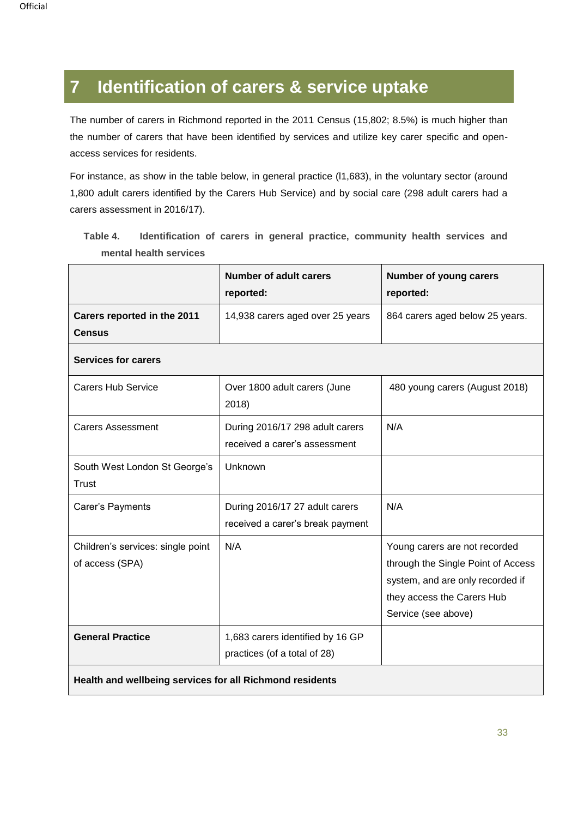# <span id="page-32-0"></span>**7 Identification of carers & service uptake**

The number of carers in Richmond reported in the 2011 Census (15,802; 8.5%) is much higher than the number of carers that have been identified by services and utilize key carer specific and openaccess services for residents.

For instance, as show in the table below, in general practice (l1,683), in the voluntary sector (around 1,800 adult carers identified by the Carers Hub Service) and by social care (298 adult carers had a carers assessment in 2016/17).

|                                                          | <b>Number of adult carers</b><br>reported:                         | Number of young carers<br>reported:                                                                                                                          |  |
|----------------------------------------------------------|--------------------------------------------------------------------|--------------------------------------------------------------------------------------------------------------------------------------------------------------|--|
| Carers reported in the 2011<br><b>Census</b>             | 14,938 carers aged over 25 years                                   | 864 carers aged below 25 years.                                                                                                                              |  |
| <b>Services for carers</b>                               |                                                                    |                                                                                                                                                              |  |
| <b>Carers Hub Service</b>                                | Over 1800 adult carers (June<br>2018)                              | 480 young carers (August 2018)                                                                                                                               |  |
| <b>Carers Assessment</b>                                 | During 2016/17 298 adult carers<br>received a carer's assessment   | N/A                                                                                                                                                          |  |
| South West London St George's<br>Trust                   | Unknown                                                            |                                                                                                                                                              |  |
| Carer's Payments                                         | During 2016/17 27 adult carers<br>received a carer's break payment | N/A                                                                                                                                                          |  |
| Children's services: single point<br>of access (SPA)     | N/A                                                                | Young carers are not recorded<br>through the Single Point of Access<br>system, and are only recorded if<br>they access the Carers Hub<br>Service (see above) |  |
| <b>General Practice</b>                                  | 1,683 carers identified by 16 GP<br>practices (of a total of 28)   |                                                                                                                                                              |  |
| Health and wellbeing services for all Richmond residents |                                                                    |                                                                                                                                                              |  |

**Table 4. Identification of carers in general practice, community health services and mental health services**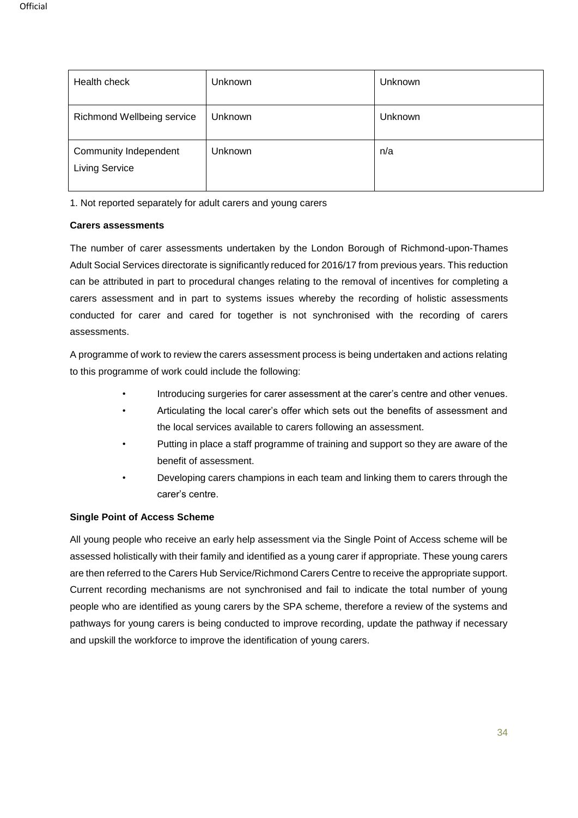| Health check                                          | Unknown        | Unknown |
|-------------------------------------------------------|----------------|---------|
| Richmond Wellbeing service                            | <b>Unknown</b> | Unknown |
| <b>Community Independent</b><br><b>Living Service</b> | Unknown        | n/a     |

1. Not reported separately for adult carers and young carers

#### **Carers assessments**

The number of carer assessments undertaken by the London Borough of Richmond-upon-Thames Adult Social Services directorate is significantly reduced for 2016/17 from previous years. This reduction can be attributed in part to procedural changes relating to the removal of incentives for completing a carers assessment and in part to systems issues whereby the recording of holistic assessments conducted for carer and cared for together is not synchronised with the recording of carers assessments.

A programme of work to review the carers assessment process is being undertaken and actions relating to this programme of work could include the following:

- Introducing surgeries for carer assessment at the carer's centre and other venues.
- Articulating the local carer's offer which sets out the benefits of assessment and the local services available to carers following an assessment.
- Putting in place a staff programme of training and support so they are aware of the benefit of assessment.
- Developing carers champions in each team and linking them to carers through the carer's centre.

#### **Single Point of Access Scheme**

All young people who receive an early help assessment via the Single Point of Access scheme will be assessed holistically with their family and identified as a young carer if appropriate. These young carers are then referred to the Carers Hub Service/Richmond Carers Centre to receive the appropriate support. Current recording mechanisms are not synchronised and fail to indicate the total number of young people who are identified as young carers by the SPA scheme, therefore a review of the systems and pathways for young carers is being conducted to improve recording, update the pathway if necessary and upskill the workforce to improve the identification of young carers.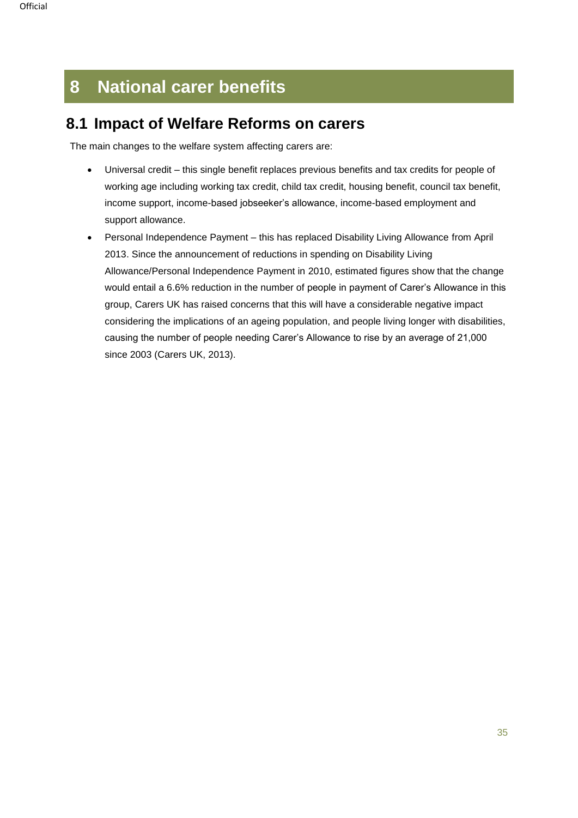# <span id="page-34-0"></span>**8 National carer benefits**

## <span id="page-34-1"></span>**8.1 Impact of Welfare Reforms on carers**

The main changes to the welfare system affecting carers are:

- Universal credit this single benefit replaces previous benefits and tax credits for people of working age including working tax credit, child tax credit, housing benefit, council tax benefit, income support, income-based jobseeker's allowance, income-based employment and support allowance.
- Personal Independence Payment this has replaced Disability Living Allowance from April 2013. Since the announcement of reductions in spending on Disability Living Allowance/Personal Independence Payment in 2010, estimated figures show that the change would entail a 6.6% reduction in the number of people in payment of Carer's Allowance in this group, Carers UK has raised concerns that this will have a considerable negative impact considering the implications of an ageing population, and people living longer with disabilities, causing the number of people needing Carer's Allowance to rise by an average of 21,000 since 2003 (Carers UK, 2013).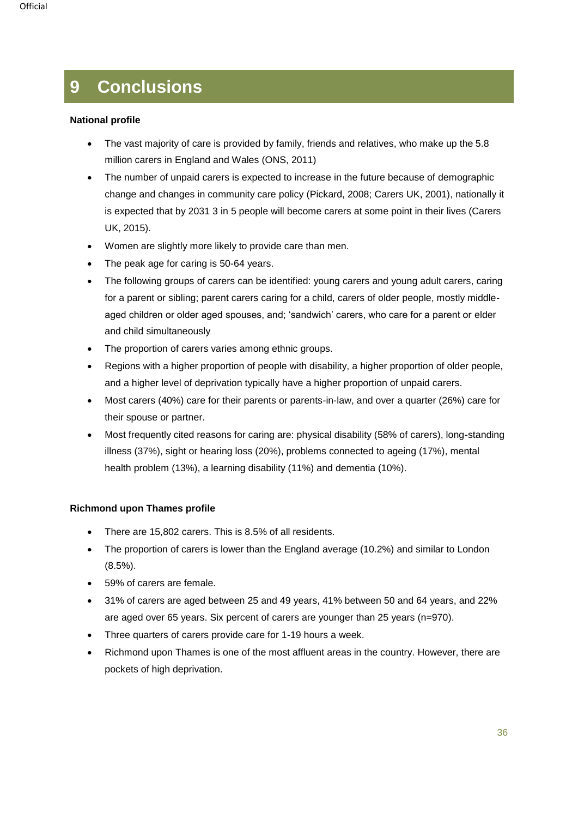# <span id="page-35-0"></span>**9 Conclusions**

#### **National profile**

- The vast majority of care is provided by family, friends and relatives, who make up the 5.8 million carers in England and Wales (ONS, 2011)
- The number of unpaid carers is expected to increase in the future because of demographic change and changes in community care policy (Pickard, 2008; Carers UK, 2001), nationally it is expected that by 2031 3 in 5 people will become carers at some point in their lives (Carers UK, 2015).
- Women are slightly more likely to provide care than men.
- The peak age for caring is 50-64 years.
- The following groups of carers can be identified: young carers and young adult carers, caring for a parent or sibling; parent carers caring for a child, carers of older people, mostly middleaged children or older aged spouses, and; 'sandwich' carers, who care for a parent or elder and child simultaneously
- The proportion of carers varies among ethnic groups.
- Regions with a higher proportion of people with disability, a higher proportion of older people, and a higher level of deprivation typically have a higher proportion of unpaid carers.
- Most carers (40%) care for their parents or parents-in-law, and over a quarter (26%) care for their spouse or partner.
- Most frequently cited reasons for caring are: physical disability (58% of carers), long-standing illness (37%), sight or hearing loss (20%), problems connected to ageing (17%), mental health problem (13%), a learning disability (11%) and dementia (10%).

### **Richmond upon Thames profile**

- There are 15,802 carers. This is 8.5% of all residents.
- The proportion of carers is lower than the England average (10.2%) and similar to London (8.5%).
- 59% of carers are female.
- 31% of carers are aged between 25 and 49 years, 41% between 50 and 64 years, and 22% are aged over 65 years. Six percent of carers are younger than 25 years (n=970).
- Three quarters of carers provide care for 1-19 hours a week.
- Richmond upon Thames is one of the most affluent areas in the country. However, there are pockets of high deprivation.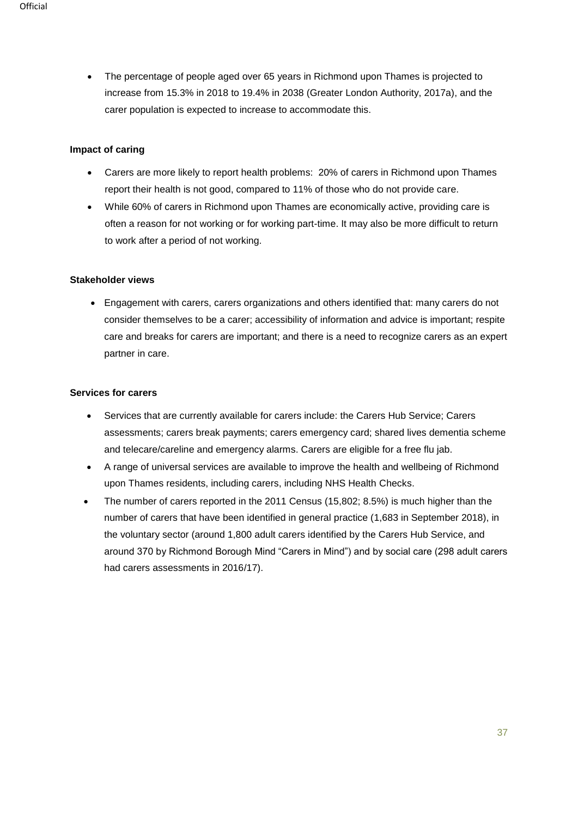• The percentage of people aged over 65 years in Richmond upon Thames is projected to increase from 15.3% in 2018 to 19.4% in 2038 (Greater London Authority, 2017a), and the carer population is expected to increase to accommodate this.

#### **Impact of caring**

- Carers are more likely to report health problems: 20% of carers in Richmond upon Thames report their health is not good, compared to 11% of those who do not provide care.
- While 60% of carers in Richmond upon Thames are economically active, providing care is often a reason for not working or for working part-time. It may also be more difficult to return to work after a period of not working.

### **Stakeholder views**

• Engagement with carers, carers organizations and others identified that: many carers do not consider themselves to be a carer; accessibility of information and advice is important; respite care and breaks for carers are important; and there is a need to recognize carers as an expert partner in care.

### **Services for carers**

- Services that are currently available for carers include: the Carers Hub Service; Carers assessments; carers break payments; carers emergency card; shared lives dementia scheme and telecare/careline and emergency alarms. Carers are eligible for a free flu jab.
- A range of universal services are available to improve the health and wellbeing of Richmond upon Thames residents, including carers, including NHS Health Checks.
- The number of carers reported in the 2011 Census (15,802; 8.5%) is much higher than the number of carers that have been identified in general practice (1,683 in September 2018), in the voluntary sector (around 1,800 adult carers identified by the Carers Hub Service, and around 370 by Richmond Borough Mind "Carers in Mind") and by social care (298 adult carers had carers assessments in 2016/17).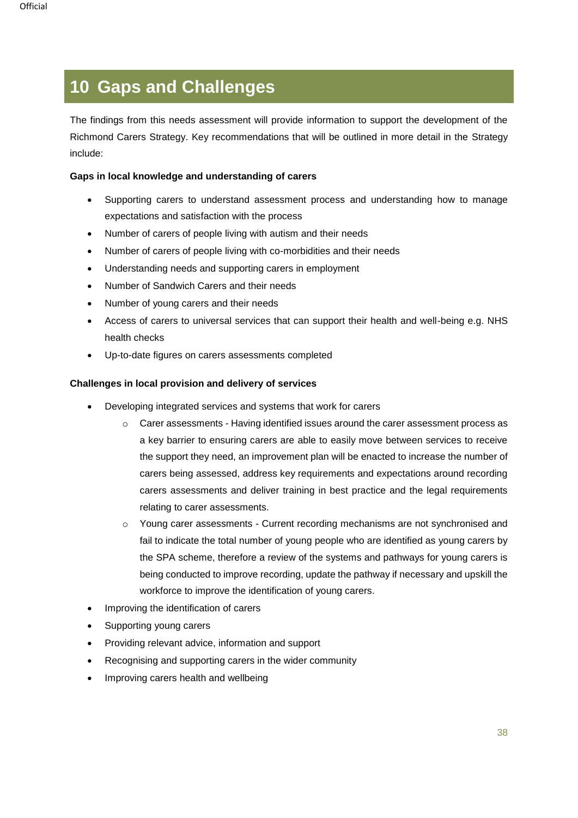# **10 Gaps and Challenges**

The findings from this needs assessment will provide information to support the development of the Richmond Carers Strategy. Key recommendations that will be outlined in more detail in the Strategy include:

### **Gaps in local knowledge and understanding of carers**

- Supporting carers to understand assessment process and understanding how to manage expectations and satisfaction with the process
- Number of carers of people living with autism and their needs
- Number of carers of people living with co-morbidities and their needs
- Understanding needs and supporting carers in employment
- Number of Sandwich Carers and their needs
- Number of young carers and their needs
- Access of carers to universal services that can support their health and well-being e.g. NHS health checks
- Up-to-date figures on carers assessments completed

### **Challenges in local provision and delivery of services**

- Developing integrated services and systems that work for carers
	- $\circ$  Carer assessments Having identified issues around the carer assessment process as a key barrier to ensuring carers are able to easily move between services to receive the support they need, an improvement plan will be enacted to increase the number of carers being assessed, address key requirements and expectations around recording carers assessments and deliver training in best practice and the legal requirements relating to carer assessments.
	- o Young carer assessments Current recording mechanisms are not synchronised and fail to indicate the total number of young people who are identified as young carers by the SPA scheme, therefore a review of the systems and pathways for young carers is being conducted to improve recording, update the pathway if necessary and upskill the workforce to improve the identification of young carers.
- Improving the identification of carers
- Supporting young carers
- Providing relevant advice, information and support
- Recognising and supporting carers in the wider community
- Improving carers health and wellbeing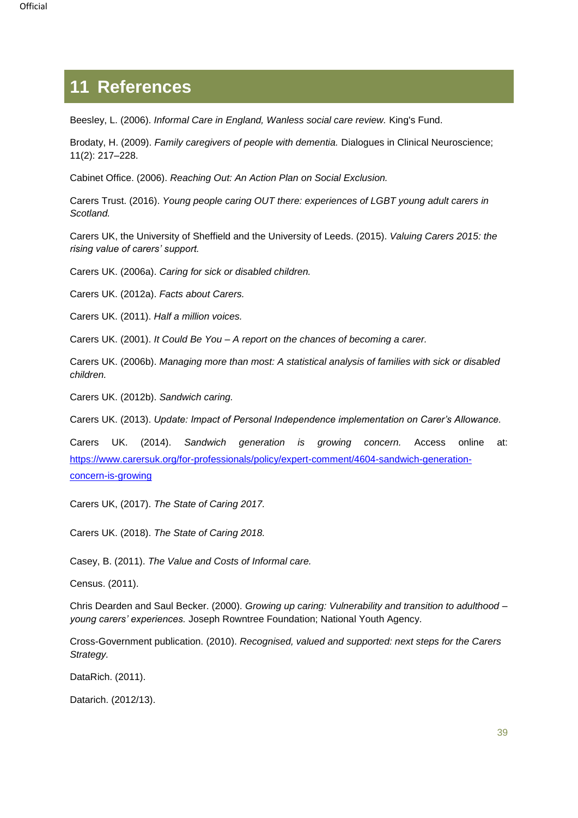# <span id="page-38-0"></span>**11 References**

Beesley, L. (2006). *Informal Care in England, Wanless social care review.* King's Fund.

Brodaty, H. (2009). *Family caregivers of people with dementia.* Dialogues in Clinical Neuroscience; 11(2): 217–228.

Cabinet Office. (2006). *Reaching Out: An Action Plan on Social Exclusion.*

Carers Trust. (2016). *Young people caring OUT there: experiences of LGBT young adult carers in Scotland.*

Carers UK, the University of Sheffield and the University of Leeds. (2015). *Valuing Carers 2015: the rising value of carers' support.*

Carers UK. (2006a). *Caring for sick or disabled children.*

Carers UK. (2012a). *Facts about Carers.*

Carers UK. (2011). *Half a million voices.*

Carers UK. (2001). *It Could Be You – A report on the chances of becoming a carer.*

Carers UK. (2006b). *Managing more than most: A statistical analysis of families with sick or disabled children.*

Carers UK. (2012b). *Sandwich caring.*

Carers UK. (2013). *Update: Impact of Personal Independence implementation on Carer's Allowance.* 

Carers UK. (2014). *Sandwich generation is growing concern.* Access online at: [https://www.carersuk.org/for-professionals/policy/expert-comment/4604-sandwich-generation](https://www.carersuk.org/for-professionals/policy/expert-comment/4604-sandwich-generation-concern-is-growing)[concern-is-growing](https://www.carersuk.org/for-professionals/policy/expert-comment/4604-sandwich-generation-concern-is-growing)

Carers UK, (2017). *The State of Caring 2017.*

Carers UK. (2018). *The State of Caring 2018.*

Casey, B. (2011). *The Value and Costs of Informal care.*

Census. (2011).

Chris Dearden and Saul Becker. (2000). *Growing up caring: Vulnerability and transition to adulthood – young carers' experiences.* Joseph Rowntree Foundation; National Youth Agency.

Cross-Government publication. (2010). *Recognised, valued and supported: next steps for the Carers Strategy.*

DataRich. (2011).

Datarich. (2012/13).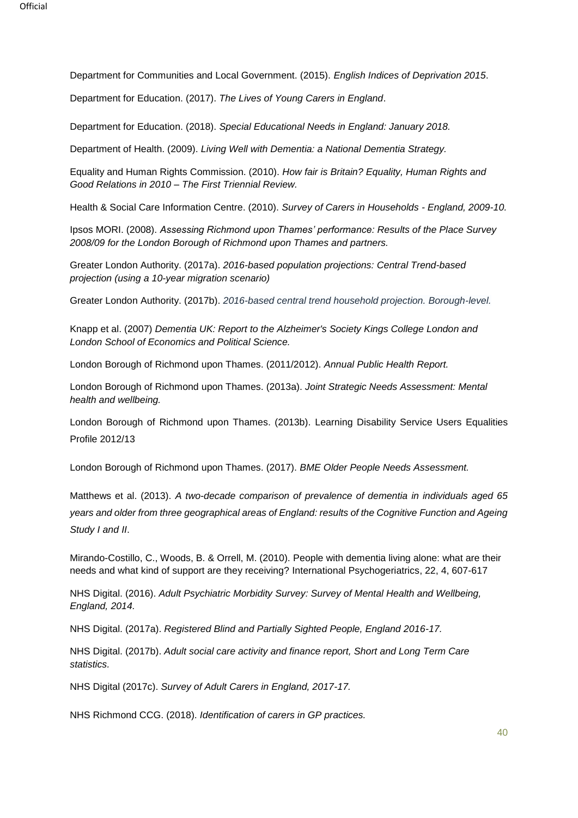Department for Communities and Local Government. (2015). *English Indices of Deprivation 2015*.

Department for Education. (2017). *The Lives of Young Carers in England*.

Department for Education. (2018). *Special Educational Needs in England: January 2018.* 

Department of Health. (2009). *Living Well with Dementia: a National Dementia Strategy.*

Equality and Human Rights Commission. (2010). *How fair is Britain? Equality, Human Rights and Good Relations in 2010 – The First Triennial Review.*

Health & Social Care Information Centre. (2010). *Survey of Carers in Households - England, 2009-10.*

Ipsos MORI. (2008). *Assessing Richmond upon Thames' performance: Results of the Place Survey 2008/09 for the London Borough of Richmond upon Thames and partners.*

Greater London Authority. (2017a). *2016-based population projections: Central Trend-based projection (using a 10-year migration scenario)*

Greater London Authority. (2017b). *2016-based central trend household projection. Borough-level.*

Knapp et al. (2007) *Dementia UK: Report to the Alzheimer's Society Kings College London and London School of Economics and Political Science.*

London Borough of Richmond upon Thames. (2011/2012). *Annual Public Health Report.*

London Borough of Richmond upon Thames. (2013a). *Joint Strategic Needs Assessment: Mental health and wellbeing.*

London Borough of Richmond upon Thames. (2013b). Learning Disability Service Users Equalities Profile 2012/13

London Borough of Richmond upon Thames. (2017). *BME Older People Needs Assessment.*

Matthews et al. (2013). *A two-decade comparison of prevalence of dementia in individuals aged 65 years and older from three geographical areas of England: results of the Cognitive Function and Ageing Study I and II*.

Mirando-Costillo, C., Woods, B. & Orrell, M. (2010). People with dementia living alone: what are their needs and what kind of support are they receiving? International Psychogeriatrics, 22, 4, 607-617

NHS Digital. (2016). *Adult Psychiatric Morbidity Survey: Survey of Mental Health and Wellbeing, England, 2014.*

NHS Digital. (2017a). *Registered Blind and Partially Sighted People, England 2016-17.*

NHS Digital. (2017b). *Adult social care activity and finance report, Short and Long Term Care statistics.*

NHS Digital (2017c). *Survey of Adult Carers in England, 2017-17.*

NHS Richmond CCG. (2018). *Identification of carers in GP practices.*